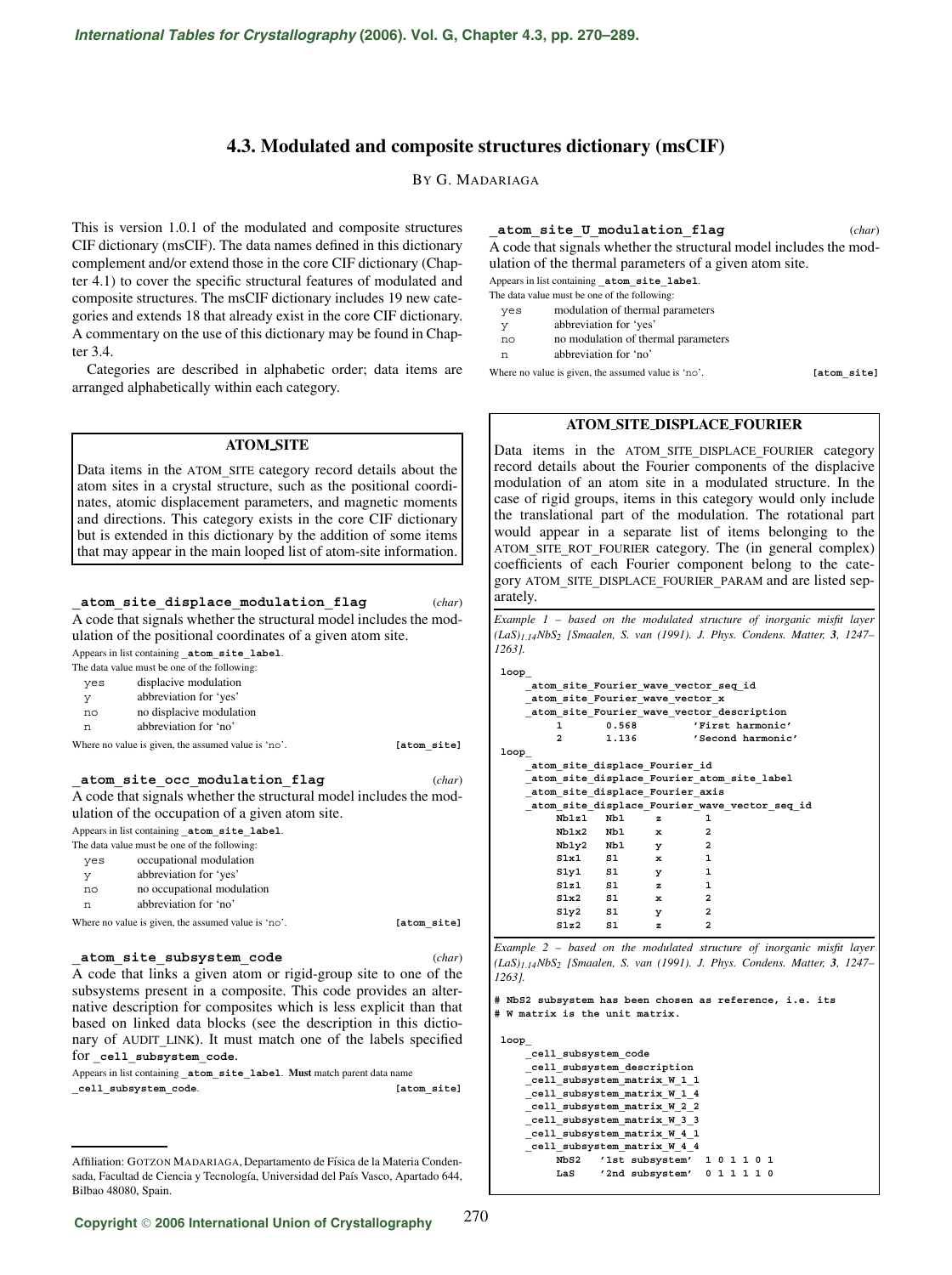# **4.3. Modulated and composite structures dictionary (msCIF)**

BY G. MADARIAGA

This is version 1.0.1 of the modulated and composite structures CIF dictionary (msCIF). The data names defined in this dictionary complement and/or extend those in the core CIF dictionary (Chapter 4.1) to cover the specific structural features of modulated and composite structures. The msCIF dictionary includes 19 new categories and extends 18 that already exist in the core CIF dictionary. A commentary on the use of this dictionary may be found in Chapter 3.4.

Categories are described in alphabetic order; data items are arranged alphabetically within each category.

# **ATOM SITE**

Data items in the ATOM**\_**SITE category record details about the atom sites in a crystal structure, such as the positional coordinates, atomic displacement parameters, and magnetic moments and directions. This category exists in the core CIF dictionary but is extended in this dictionary by the addition of some items that may appear in the main looped list of atom-site information.

**\_atom\_site\_displace\_modulation\_flag** (*char*) A code that signals whether the structural model includes the modulation of the positional coordinates of a given atom site. Appears in list containing **\_atom\_site\_label**. The data value must be one of the following: yes displacive modulation y abbreviation for 'yes' no no displacive modulation n abbreviation for 'no' Where no value is given, the assumed value is 'no'. **[atom\_site] \_atom\_site\_occ\_modulation\_flag** (*char*) A code that signals whether the structural model includes the modulation of the occupation of a given atom site.

Appears in list containing **\_atom\_site\_label**.

- The data value must be one of the following: yes occupational modulation
- y abbreviation for 'yes'
- no no occupational modulation
- n abbreviation for 'no'

Where no value is given, the assumed value is 'no'. **[atom\_site]** 

**\_atom\_site\_subsystem\_code** (*char*)

A code that links a given atom or rigid-group site to one of the subsystems present in a composite. This code provides an alternative description for composites which is less explicit than that based on linked data blocks (see the description in this dictionary of AUDIT**\_**LINK). It must match one of the labels specified for cell subsystem code.

Appears in list containing **\_atom\_site\_label**. **Must** match parent data name **\_cell\_subsystem\_code**. **[atom\_site]**

#### **\_atom\_site\_U\_modulation\_flag** (*char*)

A code that signals whether the structural model includes the modulation of the thermal parameters of a given atom site.

Appears in list containing **\_atom\_site\_label**.

- The data value must be one of the following:
- yes modulation of thermal parameters
- y abbreviation for 'yes'
- no no modulation of thermal parameters
- n abbreviation for 'no'

Where no value is given, the assumed value is 'no'. **[atom\_site]**

#### **ATOM SITE DISPLACE FOURIER**

Data items in the ATOM**\_**SITE**\_**DISPLACE**\_**FOURIER category record details about the Fourier components of the displacive modulation of an atom site in a modulated structure. In the case of rigid groups, items in this category would only include the translational part of the modulation. The rotational part would appear in a separate list of items belonging to the ATOM**\_**SITE**\_**ROT**\_**FOURIER category. The (in general complex) coefficients of each Fourier component belong to the category ATOM**\_**SITE**\_**DISPLACE**\_**FOURIER**\_**PARAM and are listed separately.

*Example 1 – based on the modulated structure of inorganic misfit layer (LaS)1*.*14NbS2 [Smaalen, S. van (1991). J. Phys. Condens. Matter, 3, 1247– 1263].*

```
loop_
   _atom_site_Fourier_wave_vector_seq_id
   _atom_site_Fourier_wave_vector_x
   _atom_site_Fourier_wave_vector_description
      1 0.568 'First harmonic'
       2 1.136 'Second harmonic'
loop_
   _atom_site_displace_Fourier_id
   _atom_site_displace_Fourier_atom_site_label
   _atom_site_displace_Fourier_axis
   _atom_site_displace_Fourier_wave_vector_seq_id
       Nb1z1 Nb1 z 1
       Nb1x2 Nb1 x 2
       Nb1y2 Nb1 y 2
       S1x1 S1 x 1
       S1y1 S1 y 1
       S1z1 S1 z 1
       S1x2 S1 x 2
       S1y2 S1 y 2
       S1z2 S1 z 2
```
*Example 2 – based on the modulated structure of inorganic misfit layer (LaS)1*.*14NbS2 [Smaalen, S. van (1991). J. Phys. Condens. Matter, 3, 1247– 1263].*

**# NbS2 subsystem has been chosen as reference, i.e. its # W matrix is the unit matrix.**

**loop\_**

```
_cell_subsystem_code
_cell_subsystem_description
_cell_subsystem_matrix_W_1_1
_cell_subsystem_matrix_W_1_4
_cell_subsystem_matrix_W_2_2
_cell_subsystem_matrix_W_3_3
_cell_subsystem_matrix_W_4_1
_cell_subsystem_matrix_W_4_4
     NbS2 '1st subsystem' 1 0 1 1 0 1
     LaS '2nd subsystem' 0 1 1 1 1 0
```
Affiliation: GOTZON MADARIAGA, Departamento de Física de la Materia Condensada, Facultad de Ciencia y Tecnología, Universidad del País Vasco, Apartado 644, Bilbao 48080, Spain.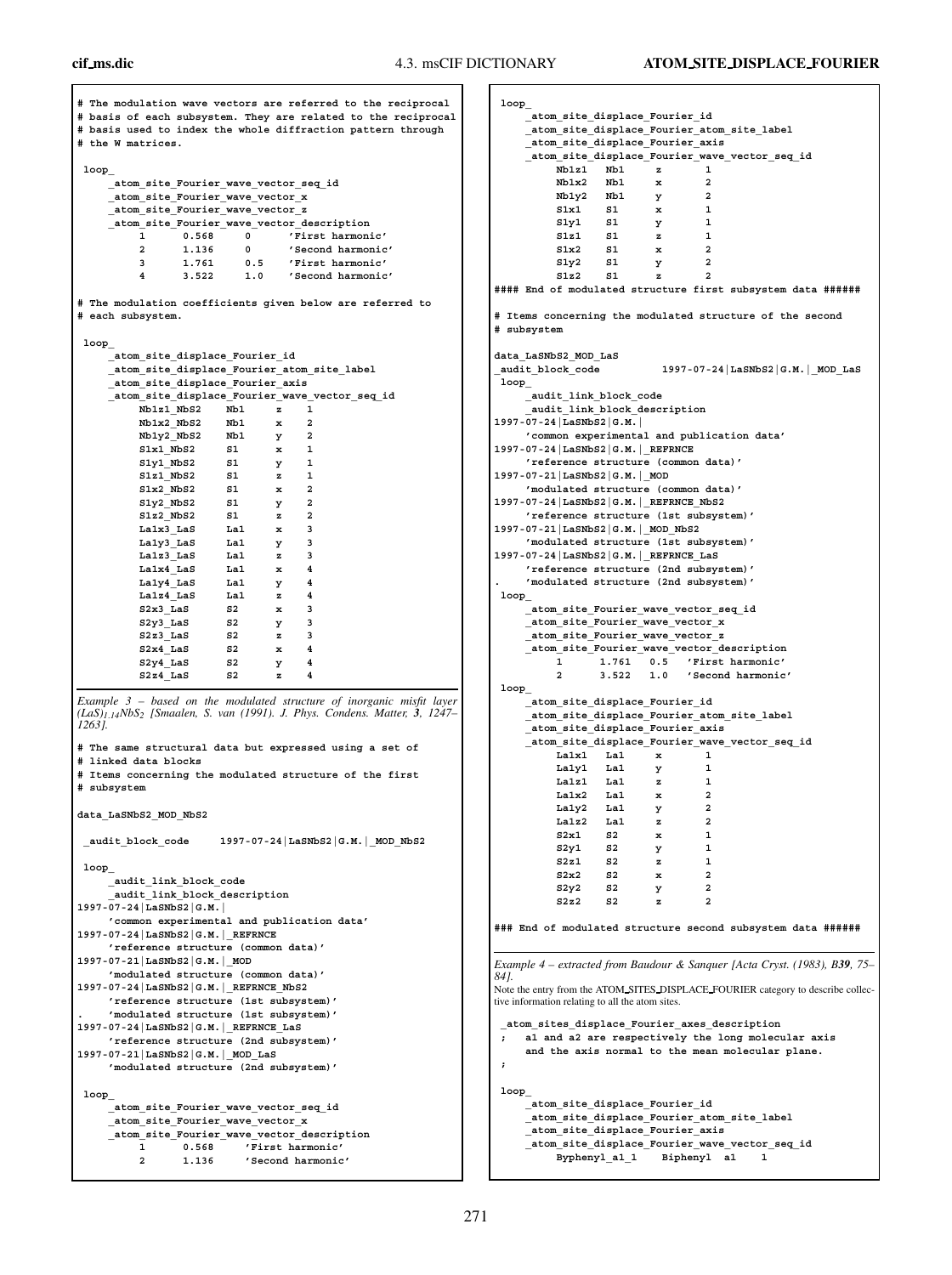**# The modulation wave vectors are referred to the reciprocal # basis of each subsystem. They are related to the reciprocal # basis used to index the whole diffraction pattern through # the W matrices. loop\_ \_atom\_site\_Fourier\_wave\_vector\_seq\_id \_atom\_site\_Fourier\_wave\_vector\_x \_atom\_site\_Fourier\_wave\_vector\_z \_atom\_site\_Fourier\_wave\_vector\_description 1 0.568 0 'First harmonic' 2 1.136 0 'Second harmonic' 3 1.761 0.5 'First harmonic' 4 3.522 1.0 'Second harmonic' # The modulation coefficients given below are referred to # each subsystem. loop\_ \_atom\_site\_displace\_Fourier\_id \_atom\_site\_displace\_Fourier\_atom\_site\_label \_atom\_site\_displace\_Fourier\_axis \_atom\_site\_displace\_Fourier\_wave\_vector\_seq\_id**  $\overline{N}$ b1z1<sup>-</sup>NbS2  $\overline{N}$ b1 z 1 **Nb1x2\_NbS2 Nb1 x 2 Nb1y2\_NbS2 Nb1 y 2 S1x1\_NbS2 S1 x 1 S1y1\_NbS2 S1 y 1 S1z1\_NbS2 S1 z 1 S1x2\_NbS2 S1 x 2 S1y2\_NbS2 S1 y 2 S1z2\_NbS2 S1 z 2 La1x3\_LaS La1 x 3 La1y3\_LaS La1 y 3 La1z3\_LaS La1 z 3 La1x4\_LaS La1 x 4 La1y4\_LaS La1 y 4 La1z4\_LaS La1 z 4**  $S2x3$  LaS  $S2$  x 3 **S2y3\_LaS S2 y 3 S2z3\_LaS S2 z 3 S2x4\_LaS S2 x 4 S2y4\_LaS S2 y 4 S2z4\_LaS S2 z 4** *Example 3 – based on the modulated structure of inorganic misfit layer (LaS)1*.*14NbS2 [Smaalen, S. van (1991). J. Phys. Condens. Matter, 3, 1247– 1263].* **# The same structural data but expressed using a set of # linked data blocks # Items concerning the modulated structure of the first # subsystem data\_LaSNbS2\_MOD\_NbS2 \_audit\_block\_code 1997-07-24|LaSNbS2|G.M.|\_MOD\_NbS2 loop\_ \_audit\_link\_block\_code \_audit\_link\_block\_description 1997-07-24|LaSNbS2|G.M.| 'common experimental and publication data' 1997-07-24|LaSNbS2|G.M.|\_REFRNCE 'reference structure (common data)' 1997-07-21|LaSNbS2|G.M.|\_MOD 'modulated structure (common data)' 1997-07-24|LaSNbS2|G.M.|\_REFRNCE\_NbS2 'reference structure (1st subsystem)' . 'modulated structure (1st subsystem)' 1997-07-24|LaSNbS2|G.M.|\_REFRNCE\_LaS 'reference structure (2nd subsystem)' 1997-07-21|LaSNbS2|G.M.|\_MOD\_LaS 'modulated structure (2nd subsystem)' loop\_ \_atom\_site\_Fourier\_wave\_vector\_seq\_id \_atom\_site\_Fourier\_wave\_vector\_x \_atom\_site\_Fourier\_wave\_vector\_description 1 0.568 'First harmonic'**

**2 1.136 'Second harmonic'**

```
loop_
    _atom_site_displace_Fourier_id
    _atom_site_displace_Fourier_atom_site_label
    _atom_site_displace_Fourier_axis
    _atom_site_displace_Fourier_wave_vector_seq_id
         Nb1z1 Nb1 z 1
         Nb1x2 Nb1 x 2<br>Nb1v2 Nb1 v 2
         Nb1y2 Nb1 y 2
        S1x1 S1 x 1
         S1y1 S1 y 1
         S1z1 S1 z 1
         S1x2 S1 x 2
         S1y2 S1 y 2
         S1z2 S1 z 2
#### End of modulated structure first subsystem data ######
# Items concerning the modulated structure of the second
# subsystem
data_LaSNbS2_MOD_LaS
_audit_block_code 1997-07-24|LaSNbS2|G.M.|_MOD_LaS
loop_
    _audit_link_block_code
     _audit_link_block_description
1997-07-24|LaSNbS2|G.M.|
    'common experimental and publication data'
1997-07-24|LaSNbS2|G.M.|_REFRNCE
    'reference structure (common data)'
1997-07-21|LaSNbS2|G.M.|_MOD
    'modulated structure (common data)'
1997-07-24|LaSNbS2|G.M.|_REFRNCE_NbS2
    'reference structure (1st subsystem)'
1997-07-21|LaSNbS2|G.M.|_MOD_NbS2
    'modulated structure (1st subsystem)'
1997-07-24|LaSNbS2|G.M.|_REFRNCE_LaS
    'reference structure (2nd subsystem)'
    . 'modulated structure (2nd subsystem)'
loop_
    _atom_site_Fourier_wave_vector_seq_id
    _atom_site_Fourier_wave_vector_x
    _atom_site_Fourier_wave_vector_z
    _atom_site_Fourier_wave_vector_description
         1 1.761 0.5 'First harmonic'
         2 3.522 1.0 'Second harmonic'
loop_
    _atom_site_displace_Fourier_id
    _atom_site_displace_Fourier_atom_site_label
    _atom_site_displace_Fourier_axis
    _atom_site_displace_Fourier_wave_vector_seq_id
         La1x1 La1 x 1
         La1y1 La1 y 1
         La1z1 La1 z 1
        La1x2 La1 x 2
         La1y2 La1 y 2
        La1z2 La1 z 2
         S2x1 S2 x 1
         S2y1 S2 y 1
         S2z1 S2 z 1
         S2x2 S2 x 2
         S2y2 S2 y 2
         S2z2 S2 z 2
### End of modulated structure second subsystem data ######
Example 4 – extracted from Baudour & Sanquer [Acta Cryst. (1983), B39, 75–
84].
Note the entry from the ATOM SITES DISPLACE FOURIER category to describe collec-
tive information relating to all the atom sites.
 _atom_sites_displace_Fourier_axes_description
; a1 and a2 are respectively the long molecular axis
    and the axis normal to the mean molecular plane.
;
loop_
    _atom_site_displace_Fourier_id
    _atom_site_displace_Fourier_atom_site_label
     _atom_site_displace_Fourier_axis
    _atom_site_displace_Fourier_wave_vector_seq_id
         Byphenyl_a1_1 Biphenyl a1 1
```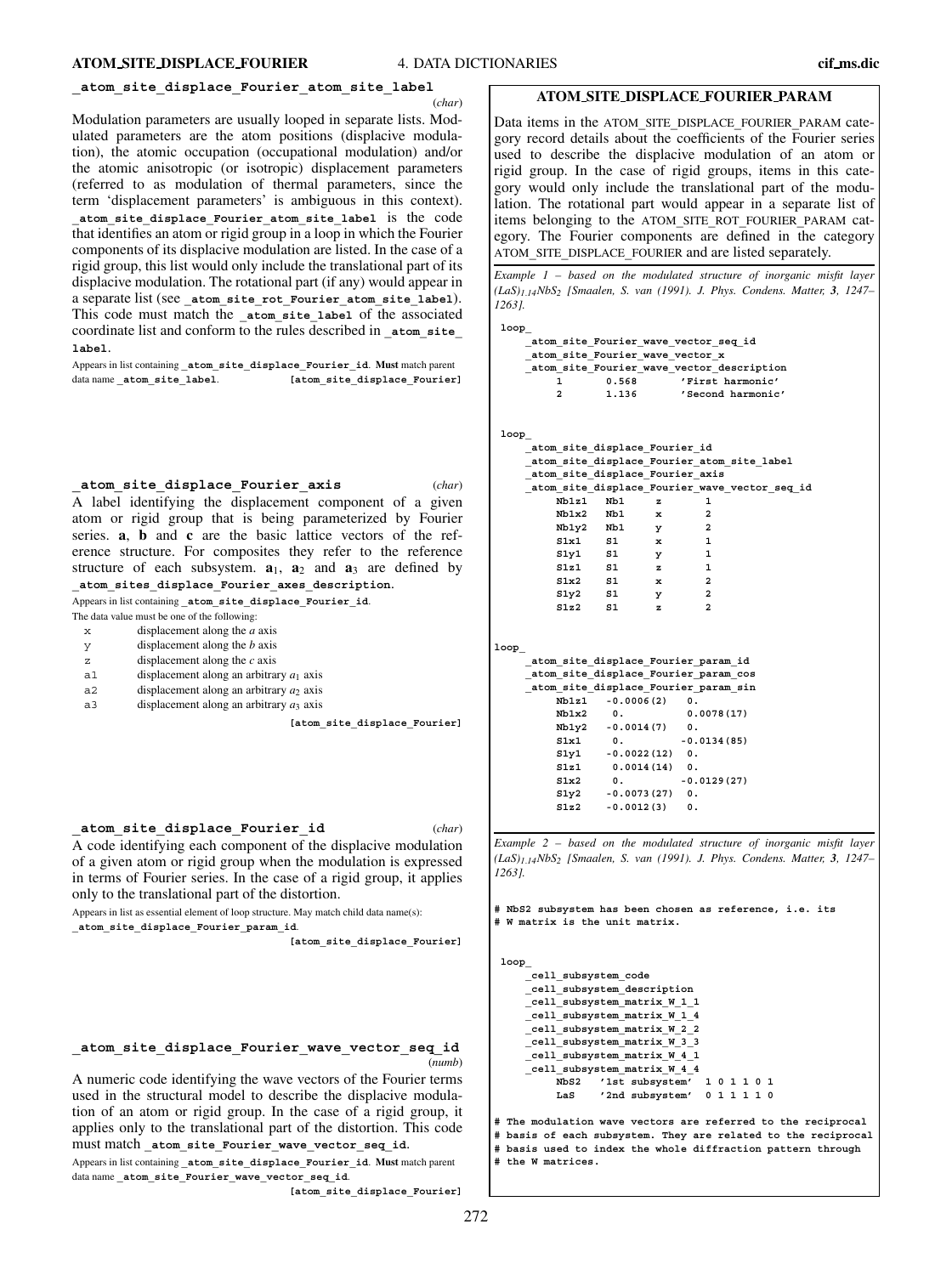#### **\_atom\_site\_displace\_Fourier\_atom\_site\_label**

(*char*)

Modulation parameters are usually looped in separate lists. Modulated parameters are the atom positions (displacive modulation), the atomic occupation (occupational modulation) and/or the atomic anisotropic (or isotropic) displacement parameters (referred to as modulation of thermal parameters, since the term 'displacement parameters' is ambiguous in this context). **\_atom\_site\_displace\_Fourier\_atom\_site\_label** is the code that identifies an atom or rigid group in a loop in which the Fourier components of its displacive modulation are listed. In the case of a rigid group, this list would only include the translational part of its displacive modulation. The rotational part (if any) would appear in a separate list (see **\_atom\_site\_rot\_Fourier\_atom\_site\_label**). This code must match the atom site label of the associated coordinate list and conform to the rules described in **\_atom\_site\_ label**.

Appears in list containing **\_atom\_site\_displace\_Fourier\_id**. **Must** match parent data name **\_atom\_site\_label**. **[atom\_site\_displace\_Fourier]**

**\_atom\_site\_displace\_Fourier\_axis** (*char*)

A label identifying the displacement component of a given atom or rigid group that is being parameterized by Fourier series. **a**, **b** and **c** are the basic lattice vectors of the reference structure. For composites they refer to the reference structure of each subsystem.  $a_1$ ,  $a_2$  and  $a_3$  are defined by **\_atom\_sites\_displace\_Fourier\_axes\_description**.

Appears in list containing **\_atom\_site\_displace\_Fourier\_id**.

The data value must be one of the following:

- x displacement along the *a* axis
- y displacement along the *b* axis
- z displacement along the *c* axis
- a1 displacement along an arbitrary *a*<sup>1</sup> axis
- a2 displacement along an arbitrary  $a_2$  axis
- a 3 displacement along an arbitrary  $a_3$  axis

**[atom\_site\_displace\_Fourier]**

```
_atom_site_displace_Fourier_id (char)
```
A code identifying each component of the displacive modulation of a given atom or rigid group when the modulation is expressed in terms of Fourier series. In the case of a rigid group, it applies only to the translational part of the distortion.

Appears in list as essential element of loop structure. May match child data name(s):

**\_atom\_site\_displace\_Fourier\_param\_id**.

**[atom\_site\_displace\_Fourier]**

# **\_atom\_site\_displace\_Fourier\_wave\_vector\_seq\_id** (*numb*)

A numeric code identifying the wave vectors of the Fourier terms used in the structural model to describe the displacive modulation of an atom or rigid group. In the case of a rigid group, it applies only to the translational part of the distortion. This code must match **\_atom\_site\_Fourier\_wave\_vector\_seq\_id**.

Appears in list containing **\_atom\_site\_displace\_Fourier\_id**. **Must** match parent data name **\_atom\_site\_Fourier\_wave\_vector\_seq\_id**.

**[atom\_site\_displace\_Fourier]**

#### **ATOM SITE DISPLACE FOURIER PARAM**

Data items in the ATOM**\_**SITE**\_**DISPLACE**\_**FOURIER**\_**PARAM category record details about the coefficients of the Fourier series used to describe the displacive modulation of an atom or rigid group. In the case of rigid groups, items in this category would only include the translational part of the modulation. The rotational part would appear in a separate list of items belonging to the ATOM**\_**SITE**\_**ROT**\_**FOURIER**\_**PARAM category. The Fourier components are defined in the category ATOM**\_**SITE**\_**DISPLACE**\_**FOURIER and are listed separately.

*Example 1 – based on the modulated structure of inorganic misfit layer (LaS)1*.*14NbS2 [Smaalen, S. van (1991). J. Phys. Condens. Matter, 3, 1247– 1263].*

```
loop_
```

```
_atom_site_Fourier_wave_vector_seq_id
_atom_site_Fourier_wave_vector_x
_atom_site_Fourier_wave_vector_description
    1 0.568 'First harmonic'
    2 1.136 'Second harmonic'
```
**loop\_**

**loop\_**

|         | atom site displace Fourier id   |                             |              |                                               |  |
|---------|---------------------------------|-----------------------------|--------------|-----------------------------------------------|--|
|         |                                 |                             |              | atom site displace Fourier atom site label    |  |
|         | atom site displace Fourier axis |                             |              |                                               |  |
|         |                                 |                             |              | atom site displace Fourier wave vector seq id |  |
|         | $Nb1z1$ $Nb1$                   |                             | z            | 1                                             |  |
|         |                                 | Nb1x2 Nb1                   | $\mathbf x$  | $\overline{a}$                                |  |
|         |                                 | Nb1y2 Nb1 y                 |              | $\overline{a}$                                |  |
|         |                                 | $S1x1$ $S1$ $x$             |              | $\mathbf{1}$                                  |  |
|         |                                 | $S1y1$ $S1$<br>$\mathbf{y}$ |              | 1                                             |  |
|         |                                 | $S1z1$ $S1$ $z$             |              | $\mathbf{1}$                                  |  |
|         |                                 | $S1x2$ $S1$ $x$             |              | $\overline{\mathbf{2}}$                       |  |
|         | $S1y2$ $S1$                     |                             | $\mathbf{y}$ | $\overline{\mathbf{2}}$                       |  |
|         | $S1z2$ $S1$                     |                             | z            | $\mathbf{r}$                                  |  |
|         |                                 |                             |              |                                               |  |
|         |                                 |                             |              |                                               |  |
| $p_{-}$ |                                 |                             |              |                                               |  |
|         |                                 |                             |              | atom site displace Fourier param id           |  |
|         |                                 |                             |              | atom site displace Fourier param cos          |  |
|         |                                 |                             |              | atom site displace Fourier param sin          |  |
|         |                                 | $Nb1z1 - 0.0006(2) 0.$      |              |                                               |  |
|         | Nb1x2 0.                        |                             |              | 0.0078(17)                                    |  |
|         |                                 | $Nb1y2 -0.0014(7) 0.$       |              |                                               |  |
|         |                                 |                             |              | $S1x1$ 0. $-0.0134(85)$                       |  |
|         |                                 | $S1y1 - 0.0022(12) 0.$      |              |                                               |  |
|         |                                 | $SLz1$ 0.0014(14)           |              | 0.                                            |  |
|         |                                 |                             |              |                                               |  |

*Example 2 – based on the modulated structure of inorganic misfit layer (LaS)1*.*14NbS2 [Smaalen, S. van (1991). J. Phys. Condens. Matter, 3, 1247– 1263].*

**# NbS2 subsystem has been chosen as reference, i.e. its # W matrix is the unit matrix.**

**S1x2 0. -0.0129(27) S1y2 -0.0073(27) 0. S1z2 -0.0012(3) 0.**

**loop\_**

```
_cell_subsystem_code
_cell_subsystem_description
_cell_subsystem_matrix_W_1_1
_cell_subsystem_matrix_W_1_4
_cell_subsystem_matrix_W_2_2
_cell_subsystem_matrix_W_3_3
_cell_subsystem_matrix_W_4_1
_cell_subsystem_matrix_W_4_4
    NbS2 '1st subsystem' 1 0 1 1 0 1
    LaS '2nd subsystem' 0 1 1 1 1 0
```

```
# The modulation wave vectors are referred to the reciprocal
# basis of each subsystem. They are related to the reciprocal
# basis used to index the whole diffraction pattern through
# the W matrices.
```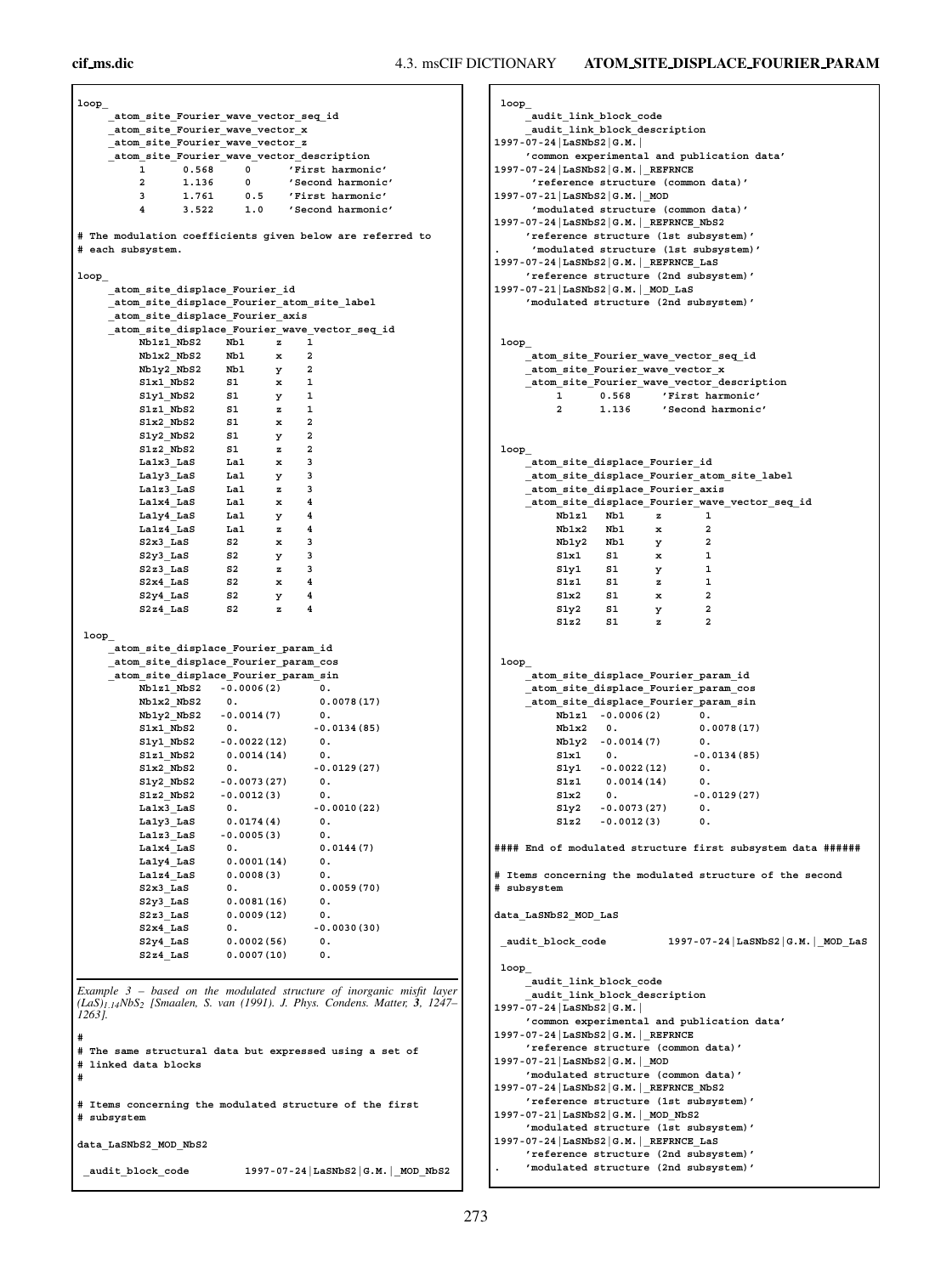# **cif ms.dic** 4.3. msCIF DICTIONARY **ATOM SITE DISPLACE FOURIER PARAM**

**loop\_ atom\_site\_Fourier\_wave\_vector\_seq\_id \_atom\_site\_Fourier\_wave\_vector\_x \_atom\_site\_Fourier\_wave\_vector\_z \_atom\_site\_Fourier\_wave\_vector\_description 1 0.568 0 'First harmonic' 2 1.136 0 'Second harmonic' 3 1.761 0.5 'First harmonic' 4 3.522 1.0 'Second harmonic' # The modulation coefficients given below are referred to # each subsystem. loop\_ \_atom\_site\_displace\_Fourier\_id \_atom\_site\_displace\_Fourier\_atom\_site\_label \_atom\_site\_displace\_Fourier\_axis \_atom\_site\_displace\_Fourier\_wave\_vector\_seq\_id Nb1z1\_NbS2 Nb1 z 1 Nb1x2\_NbS2 Nb1 x 2 Nb1y2\_NbS2 Nb1 y 2 S1x1\_NbS2 S1 x 1 S1y1\_NbS2 S1 y 1 S1z1\_NbS2** S1 z 1 **S1x2\_NbS2 S1 x 2 S1y2\_NbS2 S1 y 2 S1z2\_NbS2 S1 z 2 La1x3\_LaS La1 x 3 La1y3\_LaS La1 y 3 La1z3\_LaS La1 z 3** La1x4<sup>-LaS</sup> La1 x **La1y4\_LaS La1 y 4 La1z4\_LaS La1 z 4 S2x3\_LaS S2 x 3 S2y3\_LaS S2 y 3 S2z3\_LaS S2 z 3 S2x4\_LaS S2 x 4 S2y4\_LaS S2 y 4 S2z4\_LaS S2 z 4 loop\_ \_atom\_site\_displace\_Fourier\_param\_id \_atom\_site\_displace\_Fourier\_param\_cos \_atom\_site\_displace\_Fourier\_param\_sin Nb1z1\_NbS2 -0.0006(2) 0. Nb1x2\_NbS2 0. 0.0078(17) Nb1y2\_NbS2 -0.0014(7) 0. S1x1\_NbS2 0. -0.0134(85) S1y1\_NbS2 -0.0022(12) 0. S1z1\_NbS2 0.0014(14) 0.** S1x2\_NbS2 0. -0.0129(27) **S1y2\_NbS2 -0.0073(27) 0. S1z2\_NbS2 -0.0012(3) 0.** La1x3 LaS 0. -0.0010(22) **La1y3\_LaS 0.0174(4) 0. La1z3\_LaS -0.0005(3) 0. La1x4\_LaS 0. 0.0144(7) La1y4\_LaS 0.0001(14) 0. La1z4\_LaS 0.0008(3) 0.** 0. 0.0059(70) **S2y3\_LaS 0.0081(16) 0. S2z3\_LaS 0.0009(12) 0.**  $S2x4$  LaS 0.  $-0.0030(30)$ **S2y4\_LaS 0.0002(56) 0. S2z4\_LaS 0.0007(10) 0.** *Example 3 – based on the modulated structure of inorganic misfit layer (LaS)1*.*14NbS2 [Smaalen, S. van (1991). J. Phys. Condens. Matter, 3, 1247– 1263].* **# # The same structural data but expressed using a set of # linked data blocks # # Items concerning the modulated structure of the first # subsystem data\_LaSNbS2\_MOD\_NbS2 \_audit\_block\_code 1997-07-24|LaSNbS2|G.M.|\_MOD\_NbS2**

**loop\_ \_audit\_link\_block\_code \_audit\_link\_block\_description 1997-07-24|LaSNbS2|G.M.| 'common experimental and publication data' 1997-07-24|LaSNbS2|G.M.|\_REFRNCE 'reference structure (common data)' 1997-07-21|LaSNbS2|G.M.|\_MOD 'modulated structure (common data)' 1997-07-24|LaSNbS2|G.M.|\_REFRNCE\_NbS2 'reference structure (1st subsystem)' . 'modulated structure (1st subsystem)' 1997-07-24|LaSNbS2|G.M.|\_REFRNCE\_LaS 'reference structure (2nd subsystem)' 1997-07-21|LaSNbS2|G.M.|\_MOD\_LaS 'modulated structure (2nd subsystem)' loop\_ \_atom\_site\_Fourier\_wave\_vector\_seq\_id \_atom\_site\_Fourier\_wave\_vector\_x \_atom\_site\_Fourier\_wave\_vector\_description 1 0.568 'First harmonic' 2 1.136 'Second harmonic' loop\_ \_atom\_site\_displace\_Fourier\_id \_atom\_site\_displace\_Fourier\_atom\_site\_label \_atom\_site\_displace\_Fourier\_axis \_atom\_site\_displace\_Fourier\_wave\_vector\_seq\_id**  $\overline{N}b1z1$   $Nb1$   $z$   $1$ <br> $Nb1x2$   $Nb1$   $x$   $2$ **Nb1x2 Nb1 x 2 Nb1y2 Nb1 y 2 S1x1 S1 x 1 S1y1 S1 y 1 S1z1 S1 z 1 S1x2 S1 x 2 S1y2 S1 y 2 S1z2 S1 z 2 loop\_ \_atom\_site\_displace\_Fourier\_param\_id \_atom\_site\_displace\_Fourier\_param\_cos \_atom\_site\_displace\_Fourier\_param\_sin Nb1z1 -0.0006(2) 0. Nb1x2 0. 0.0078(17) Nb1y2 -0.0014(7) 0.** S1x1 0. -0.0134(85) **S1y1 -0.0022(12) 0. S1z1 0.0014(14) 0.**  $0. 0.0129(27)$ **S1y2 -0.0073(27) 0. S1z2 -0.0012(3) 0. #### End of modulated structure first subsystem data ###### # Items concerning the modulated structure of the second # subsystem data\_LaSNbS2\_MOD\_LaS \_audit\_block\_code 1997-07-24|LaSNbS2|G.M.|\_MOD\_LaS loop\_ \_audit\_link\_block\_code \_audit\_link\_block\_description 1997-07-24|LaSNbS2|G.M.| 'common experimental and publication data' 1997-07-24|LaSNbS2|G.M.|\_REFRNCE 'reference structure (common data)' 1997-07-21|LaSNbS2|G.M.|\_MOD 'modulated structure (common data)' 1997-07-24|LaSNbS2|G.M.|\_REFRNCE\_NbS2 'reference structure (1st subsystem)' 1997-07-21|LaSNbS2|G.M.|\_MOD\_NbS2 'modulated structure (1st subsystem)' 1997-07-24|LaSNbS2|G.M.|\_REFRNCE\_LaS 'reference structure (2nd subsystem)' . 'modulated structure (2nd subsystem)'**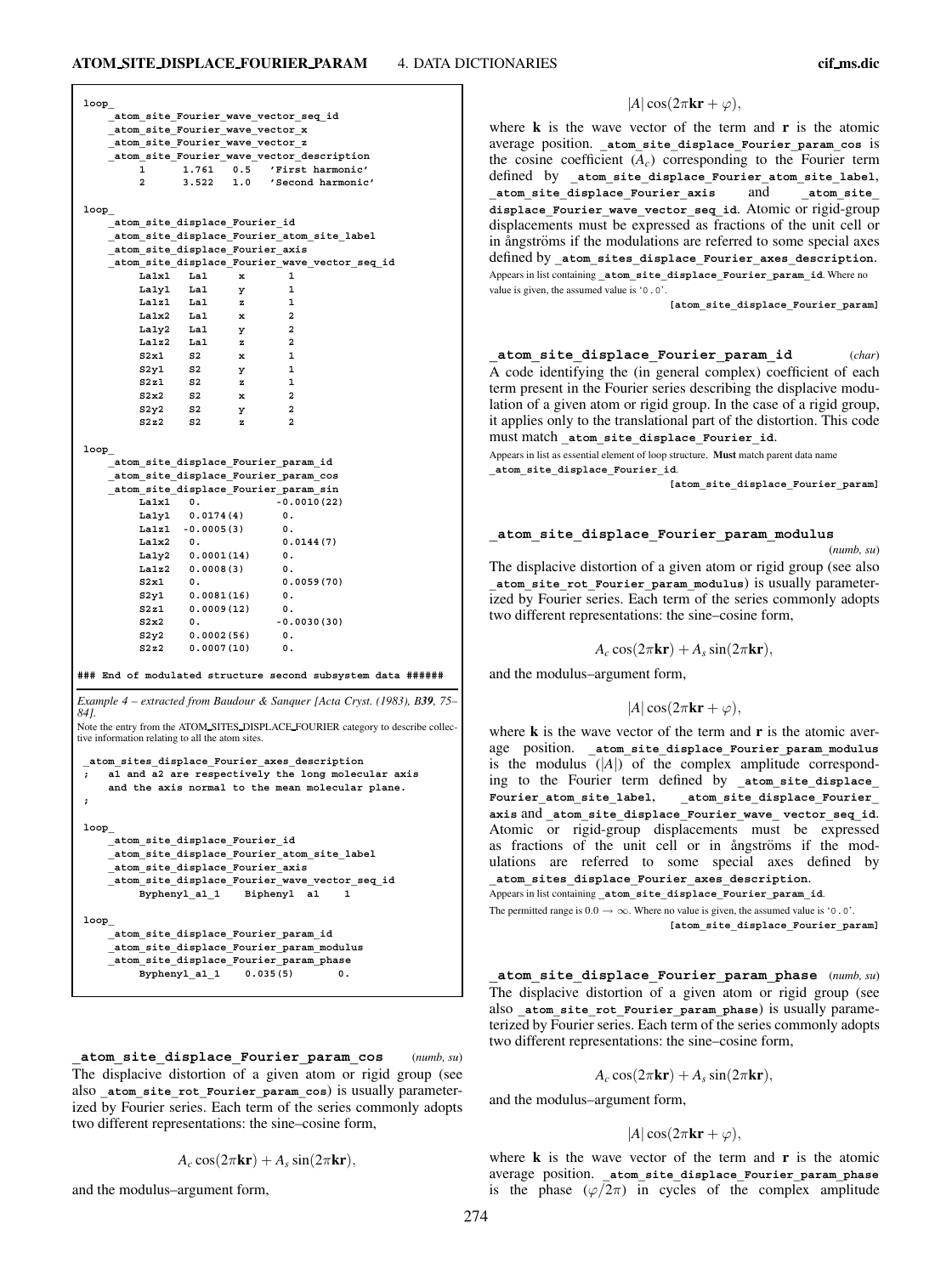| $loop_$    |                                                  |                        |        |                                                       |                                                                                  |
|------------|--------------------------------------------------|------------------------|--------|-------------------------------------------------------|----------------------------------------------------------------------------------|
|            |                                                  |                        |        | atom site Fourier wave vector seq id                  |                                                                                  |
|            | atom site Fourier wave vector x                  |                        |        |                                                       |                                                                                  |
|            | atom site Fourier wave vector z                  |                        |        | atom site Fourier wave vector description             |                                                                                  |
|            | 1                                                | 1.761                  | 0.5    | 'First harmonic'                                      |                                                                                  |
|            | $\overline{a}$                                   | 3.522                  |        | 1.0 'Second harmonic'                                 |                                                                                  |
|            |                                                  |                        |        |                                                       |                                                                                  |
| loop       | _atom_site_displace_Fourier_id                   |                        |        |                                                       |                                                                                  |
|            |                                                  |                        |        | atom site displace Fourier atom site label            |                                                                                  |
|            | atom site displace Fourier axis                  |                        |        |                                                       |                                                                                  |
|            | La1x1                                            | La1                    | x      | 1                                                     | atom site displace Fourier wave vector seq id                                    |
|            | Lalyl                                            | La1                    | у      | $\mathbf{1}$                                          |                                                                                  |
|            | <b>Lalz1</b>                                     | Lal                    | z      | 1                                                     |                                                                                  |
|            | La1x2                                            | Lal                    | x      | $\overline{a}$                                        |                                                                                  |
|            | Laly2                                            | Lal                    | у      | $\overline{\mathbf{2}}$                               |                                                                                  |
|            | La1z2<br>S2x1                                    | Lal<br>S2              | z<br>x | $\overline{\mathbf{2}}$<br>1                          |                                                                                  |
|            | S2y1                                             | S2                     | у      | 1                                                     |                                                                                  |
|            | 52z1                                             | S2                     | z      | 1                                                     |                                                                                  |
|            | S2x2                                             | S2                     | x      | $\overline{a}$                                        |                                                                                  |
|            | S2y2                                             | S2                     | у      | 2                                                     |                                                                                  |
|            | 52z2                                             | S2                     | z      | $\mathbf{2}$                                          |                                                                                  |
| loop       |                                                  |                        |        |                                                       |                                                                                  |
|            |                                                  |                        |        | atom site displace Fourier param id                   |                                                                                  |
|            |                                                  |                        |        | atom site displace Fourier param cos                  |                                                                                  |
|            | La1x1                                            |                        |        | atom site displace Fourier param sin<br>$-0.0010(22)$ |                                                                                  |
|            | Laly1                                            | 0.<br>0.0174(4)        |        | 0.                                                    |                                                                                  |
|            |                                                  | $La1z1 - 0.0005(3)$    |        | О.                                                    |                                                                                  |
|            | $_{\tt La1x2}$                                   | 0.                     |        | 0.0144(7)                                             |                                                                                  |
|            | Laly2                                            | 0.0001(14)             |        | О.                                                    |                                                                                  |
|            | La1z2<br>S2x1                                    | 0.0008(3)              |        | О.                                                    |                                                                                  |
|            | S2y1                                             | 0.<br>0.0081(16)       |        | 0.0059(70)<br>О.                                      |                                                                                  |
|            | 52z1                                             | 0.0009(12)             |        | О.                                                    |                                                                                  |
|            | S2x2                                             | 0.                     |        | $-0.0030(30)$                                         |                                                                                  |
|            | S2y2                                             | 0.0002(56)             |        | О.                                                    |                                                                                  |
|            | \$2z2                                            | 0.0007(10)             |        | О.                                                    |                                                                                  |
|            |                                                  |                        |        |                                                       | ### End of modulated structure second subsystem data ######                      |
|            |                                                  |                        |        |                                                       |                                                                                  |
| 841.       |                                                  |                        |        |                                                       | Example 4 – extracted from Baudour & Sanquer [Acta Cryst. (1983), B39, 75–       |
|            |                                                  |                        |        |                                                       | Note the entry from the ATOM SITES DISPLACE FOURIER category to describe collec- |
|            | tive information relating to all the atom sites. |                        |        |                                                       |                                                                                  |
|            |                                                  |                        |        | atom sites displace Fourier axes description          |                                                                                  |
| $\ddot{ }$ |                                                  |                        |        |                                                       | al and a2 are respectively the long molecular axis                               |
|            |                                                  |                        |        |                                                       | and the axis normal to the mean molecular plane.                                 |
| ;          |                                                  |                        |        |                                                       |                                                                                  |
|            |                                                  |                        |        |                                                       |                                                                                  |
| loop       | atom site displace Fourier id                    |                        |        |                                                       |                                                                                  |
|            |                                                  |                        |        | atom site displace Fourier atom site label            |                                                                                  |
|            | atom site displace Fourier axis                  |                        |        |                                                       |                                                                                  |
|            |                                                  |                        |        | atom site displace Fourier wave vector seq id         |                                                                                  |
|            |                                                  | Byphenyl a1 1          |        | Biphenyl al                                           | 1                                                                                |
| loop       |                                                  |                        |        |                                                       |                                                                                  |
|            |                                                  |                        |        | _atom_site_displace_Fourier_param_id                  |                                                                                  |
|            |                                                  |                        |        | atom site displace Fourier param modulus              |                                                                                  |
|            |                                                  |                        |        | atom site displace Fourier param phase                |                                                                                  |
|            |                                                  | Byphenyl a1 1 0.035(5) |        |                                                       | О.                                                                               |

**\_atom\_site\_displace\_Fourier\_param\_cos** (*numb, su*) The displacive distortion of a given atom or rigid group (see also atom site rot Fourier param cos) is usually parameterized by Fourier series. Each term of the series commonly adopts two different representations: the sine–cosine form,

 $A_c \cos(2\pi \mathbf{k}\mathbf{r}) + A_s \sin(2\pi \mathbf{k}\mathbf{r}),$ 

and the modulus–argument form,

 $|A| \cos(2\pi \mathbf{kr} + \varphi),$ 

where **k** is the wave vector of the term and **r** is the atomic average position. atom site displace Fourier param cos is the cosine coefficient  $(A<sub>c</sub>)$  corresponding to the Fourier term defined by **\_atom\_site\_displace\_Fourier\_atom\_site\_label**, **\_atom\_site\_displace\_Fourier\_axis** and **\_atom\_site\_ displace\_Fourier\_wave\_vector\_seq\_id**. Atomic or rigid-group displacements must be expressed as fractions of the unit cell or in ångströms if the modulations are referred to some special axes defined by **\_atom\_sites\_displace\_Fourier\_axes\_description**. Appears in list containing **\_atom\_site\_displace\_Fourier\_param\_id**. Where no value is given, the assumed value is '0.0'.

**[atom\_site\_displace\_Fourier\_param]**

**\_atom\_site\_displace\_Fourier\_param\_id** (*char*) A code identifying the (in general complex) coefficient of each term present in the Fourier series describing the displacive modulation of a given atom or rigid group. In the case of a rigid group, it applies only to the translational part of the distortion. This code must match **\_atom\_site\_displace\_Fourier\_id**.

Appears in list as essential element of loop structure. **Must** match parent data name **\_atom\_site\_displace\_Fourier\_id**.

**[atom\_site\_displace\_Fourier\_param]**

# **\_atom\_site\_displace\_Fourier\_param\_modulus**

(*numb, su*) The displacive distortion of a given atom or rigid group (see also atom site rot Fourier param modulus) is usually parameterized by Fourier series. Each term of the series commonly adopts two different representations: the sine–cosine form,

```
A_c \cos(2\pi \mathbf{k}\mathbf{r}) + A_s \sin(2\pi \mathbf{k}\mathbf{r}),
```
and the modulus–argument form,

```
|A| \cos(2\pi \mathbf{kr} + \varphi),
```
where **k** is the wave vector of the term and **r** is the atomic average position. **\_atom\_site\_displace\_Fourier\_param\_modulus** is the modulus  $(|A|)$  of the complex amplitude corresponding to the Fourier term defined by atom site displace **Fourier\_atom\_site\_label**, **\_atom\_site\_displace\_Fourier\_ axis** and **\_atom\_site\_displace\_Fourier\_wave\_ vector\_seq\_id**. Atomic or rigid-group displacements must be expressed as fractions of the unit cell or in angströms if the modulations are referred to some special axes defined by **\_atom\_sites\_displace\_Fourier\_axes\_description**.

Appears in list containing **\_atom\_site\_displace\_Fourier\_param\_id**.

The permitted range is  $0.0 \rightarrow \infty$ . Where no value is given, the assumed value is '0.0'. **[atom\_site\_displace\_Fourier\_param]**

**\_atom\_site\_displace\_Fourier\_param\_phase** (*numb, su*) The displacive distortion of a given atom or rigid group (see also atom site rot Fourier param phase) is usually parameterized by Fourier series. Each term of the series commonly adopts two different representations: the sine–cosine form,

$$
A_c \cos(2\pi \mathbf{kr}) + A_s \sin(2\pi \mathbf{kr}),
$$

and the modulus–argument form,

 $|A| \cos(2\pi \mathbf{kr} + \varphi),$ 

where **k** is the wave vector of the term and **r** is the atomic average position. **\_atom\_site\_displace\_Fourier\_param\_phase** is the phase  $(\varphi/2\pi)$  in cycles of the complex amplitude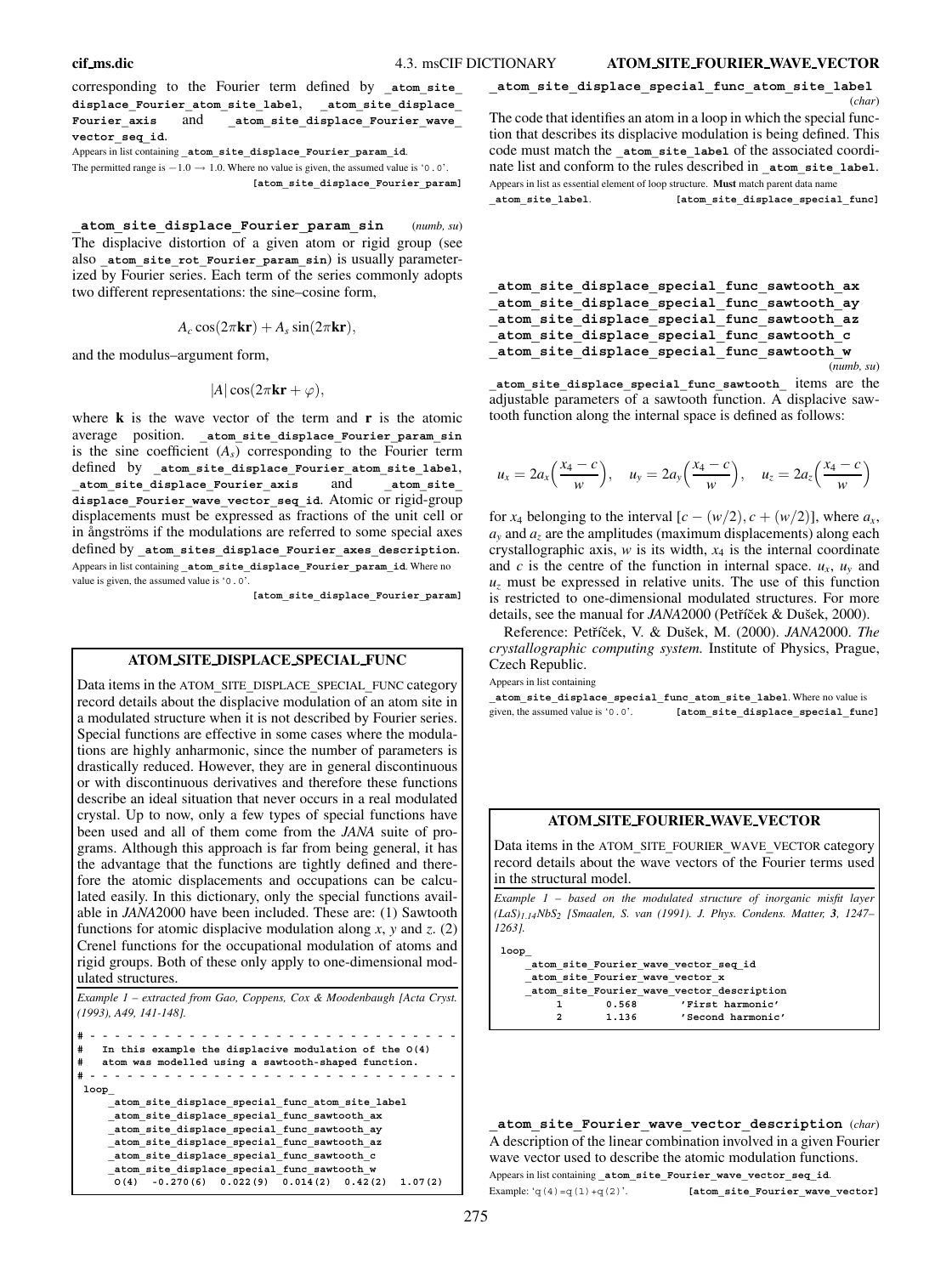corresponding to the Fourier term defined by atom site **displace\_Fourier\_atom\_site\_label**, **\_atom\_site\_displace\_ Fourier\_axis** and **\_atom\_site\_displace\_Fourier\_wave\_ vector\_seq\_id**.

Appears in list containing **\_atom\_site\_displace\_Fourier\_param\_id**.

The permitted range is  $-1.0 \rightarrow 1.0$ . Where no value is given, the assumed value is '0.0'. **[atom\_site\_displace\_Fourier\_param]**

**\_atom\_site\_displace\_Fourier\_param\_sin** (*numb, su*) The displacive distortion of a given atom or rigid group (see also atom site rot Fourier param sin) is usually parameterized by Fourier series. Each term of the series commonly adopts two different representations: the sine–cosine form,

$$
A_c \cos(2\pi \mathbf{kr}) + A_s \sin(2\pi \mathbf{kr}),
$$

and the modulus–argument form,

$$
|A|\cos(2\pi\mathbf{kr}+\varphi),
$$

where **k** is the wave vector of the term and **r** is the atomic average position. **\_atom\_site\_displace\_Fourier\_param\_sin** is the sine coefficient  $(A<sub>s</sub>)$  corresponding to the Fourier term defined by **\_atom\_site\_displace\_Fourier\_atom\_site\_label**, **\_atom\_site\_displace\_Fourier\_axis** and **\_atom\_site\_ displace\_Fourier\_wave\_vector\_seq\_id**. Atomic or rigid-group displacements must be expressed as fractions of the unit cell or in ångströms if the modulations are referred to some special axes defined by **\_atom\_sites\_displace\_Fourier\_axes\_description**. Appears in list containing **\_atom\_site\_displace\_Fourier\_param\_id**. Where no value is given, the assumed value is '0.0'.

**[atom\_site\_displace\_Fourier\_param]**

# **ATOM SITE DISPLACE SPECIAL FUNC**

Data items in the ATOM**\_**SITE**\_**DISPLACE**\_**SPECIAL**\_**FUNC category record details about the displacive modulation of an atom site in a modulated structure when it is not described by Fourier series. Special functions are effective in some cases where the modulations are highly anharmonic, since the number of parameters is drastically reduced. However, they are in general discontinuous or with discontinuous derivatives and therefore these functions describe an ideal situation that never occurs in a real modulated crystal. Up to now, only a few types of special functions have been used and all of them come from the *JANA* suite of programs. Although this approach is far from being general, it has the advantage that the functions are tightly defined and therefore the atomic displacements and occupations can be calculated easily. In this dictionary, only the special functions available in *JANA*2000 have been included. These are: (1) Sawtooth functions for atomic displacive modulation along *x*, *y* and *z*. (2) Crenel functions for the occupational modulation of atoms and rigid groups. Both of these only apply to one-dimensional modulated structures.

*Example 1 – extracted from Gao, Coppens, Cox & Moodenbaugh [Acta Cryst. (1993), A49, 141-148].*

```
#------------------------------
   # In this example the displacive modulation of the O(4)
   # atom was modelled using a sawtooth-shaped function.
#------------------------------
loop_
    _atom_site_displace_special_func_atom_site_label
    _atom_site_displace_special_func_sawtooth_ax
    _atom_site_displace_special_func_sawtooth_ay
    _atom_site_displace_special_func_sawtooth_az
    _atom_site_displace_special_func_sawtooth_c
     _atom_site_displace_special_func_sawtooth_w
     O(4) -0.270(6) 0.022(9) 0.014(2) 0.42(2) 1.07(2)
```
**\_atom\_site\_displace\_special\_func\_atom\_site\_label**

(*char*) The code that identifies an atom in a loop in which the special function that describes its displacive modulation is being defined. This code must match the atom site label of the associated coordinate list and conform to the rules described in **\_atom\_site\_label**. Appears in list as essential element of loop structure. **Must** match parent data name **\_atom\_site\_label**. **[atom\_site\_displace\_special\_func]**

**\_atom\_site\_displace\_special\_func\_sawtooth\_ax \_atom\_site\_displace\_special\_func\_sawtooth\_ay \_atom\_site\_displace\_special\_func\_sawtooth\_az \_atom\_site\_displace\_special\_func\_sawtooth\_c \_atom\_site\_displace\_special\_func\_sawtooth\_w** (*numb, su*)

**\_atom\_site\_displace\_special\_func\_sawtooth\_** items are the adjustable parameters of a sawtooth function. A displacive sawtooth function along the internal space is defined as follows:

$$
u_x = 2a_x \left(\frac{x_4-c}{w}\right), \quad u_y = 2a_y \left(\frac{x_4-c}{w}\right), \quad u_z = 2a_z \left(\frac{x_4-c}{w}\right)
$$

for *x*<sub>4</sub> belonging to the interval  $[c - (w/2), c + (w/2)]$ , where  $a_x$ ,  $a<sub>y</sub>$  and  $a<sub>z</sub>$  are the amplitudes (maximum displacements) along each crystallographic axis,  $w$  is its width,  $x_4$  is the internal coordinate and *c* is the centre of the function in internal space.  $u_x$ ,  $u_y$  and  $u<sub>z</sub>$  must be expressed in relative units. The use of this function is restricted to one-dimensional modulated structures. For more details, see the manual for *JANA* 2000 (Petříček & Dušek, 2000).

Reference: Petříček, V. & Dušek, M. (2000). *JANA*2000. *The crystallographic computing system.* Institute of Physics, Prague, Czech Republic.

Appears in list containing

**\_atom\_site\_displace\_special\_func\_atom\_site\_label**. Where no value is given, the assumed value is '0.0'. **[atom\_site\_displace\_special\_func]**

# **ATOM SITE FOURIER WAVE VECTOR**

Data items in the ATOM**\_**SITE**\_**FOURIER**\_**WAVE**\_**VECTOR category record details about the wave vectors of the Fourier terms used in the structural model.

*Example 1 – based on the modulated structure of inorganic misfit layer (LaS)1*.*14NbS2 [Smaalen, S. van (1991). J. Phys. Condens. Matter, 3, 1247– 1263].*

**loop\_**

**\_atom\_site\_Fourier\_wave\_vector\_seq\_id \_atom\_site\_Fourier\_wave\_vector\_x \_atom\_site\_Fourier\_wave\_vector\_description 1 0.568 'First harmonic' 2 1.136 'Second harmonic'**

**\_atom\_site\_Fourier\_wave\_vector\_description** (*char*) A description of the linear combination involved in a given Fourier wave vector used to describe the atomic modulation functions. Appears in list containing **\_atom\_site\_Fourier\_wave\_vector\_seq\_id**. Example: 'q(4)=q(1)+q(2)'. **[atom\_site\_Fourier\_wave\_vector]**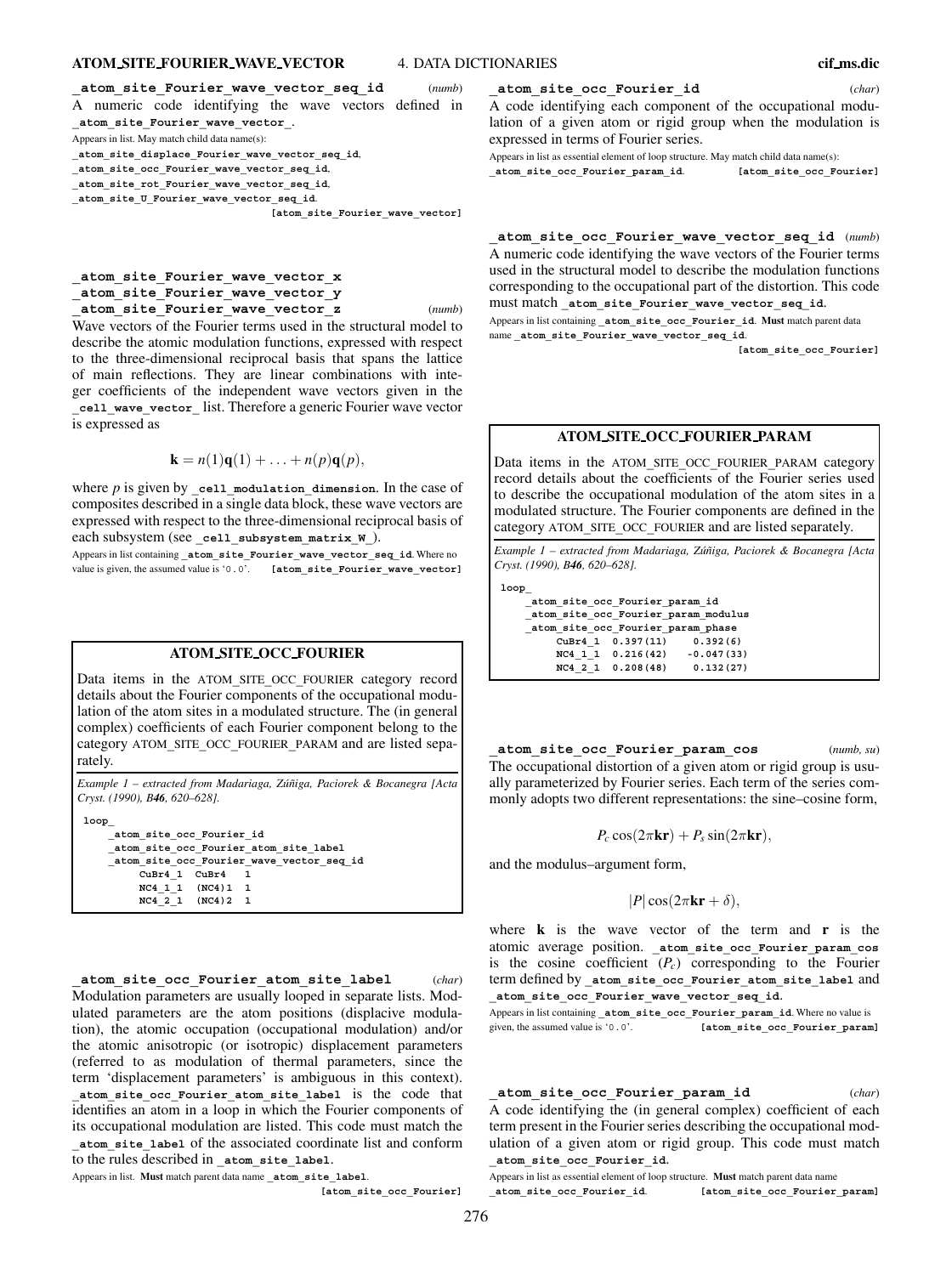# **ATOM SITE FOURIER WAVE VECTOR** 4. DATA DICTIONARIES **cif ms.dic**

**\_atom\_site\_Fourier\_wave\_vector\_seq\_id** (*numb*) A numeric code identifying the wave vectors defined in **\_atom\_site\_Fourier\_wave\_vector\_**. Appears in list. May match child data name(s): **\_atom\_site\_displace\_Fourier\_wave\_vector\_seq\_id**, **\_atom\_site\_occ\_Fourier\_wave\_vector\_seq\_id**, **\_atom\_site\_rot\_Fourier\_wave\_vector\_seq\_id**,

**\_atom\_site\_U\_Fourier\_wave\_vector\_seq\_id**.

**[atom\_site\_Fourier\_wave\_vector]**

# **\_atom\_site\_Fourier\_wave\_vector\_x \_atom\_site\_Fourier\_wave\_vector\_y \_atom\_site\_Fourier\_wave\_vector\_z** (*numb*)

Wave vectors of the Fourier terms used in the structural model to describe the atomic modulation functions, expressed with respect to the three-dimensional reciprocal basis that spans the lattice of main reflections. They are linear combinations with integer coefficients of the independent wave vectors given in the **\_cell\_wave\_vector\_** list. Therefore a generic Fourier wave vector is expressed as

$$
\mathbf{k} = n(1)\mathbf{q}(1) + \ldots + n(p)\mathbf{q}(p),
$$

where *p* is given by cell modulation dimension. In the case of composites described in a single data block, these wave vectors are expressed with respect to the three-dimensional reciprocal basis of each subsystem (see **\_cell\_subsystem\_matrix\_W\_**).

Appears in list containing **\_atom\_site\_Fourier\_wave\_vector\_seq\_id**. Where no value is given, the assumed value is '0.0'. **[atom\_site\_Fourier\_wave\_vector]**

#### **ATOM SITE OCC FOURIER**

Data items in the ATOM**\_**SITE**\_**OCC**\_**FOURIER category record details about the Fourier components of the occupational modulation of the atom sites in a modulated structure. The (in general complex) coefficients of each Fourier component belong to the category ATOM**\_**SITE**\_**OCC**\_**FOURIER**\_**PARAM and are listed separately.

*Example 1 – extracted from Madariaga, Zu´niga, Paciorek & Bocanegra [Acta ˜ Cryst. (1990), B46, 620–628].*

**loop\_ \_atom\_site\_occ\_Fourier\_id \_atom\_site\_occ\_Fourier\_atom\_site\_label \_atom\_site\_occ\_Fourier\_wave\_vector\_seq\_id CuBr4\_1 CuBr4 1 NC4\_1\_1 (NC4)1 1 NC4\_2\_1 (NC4)2 1**

**\_atom\_site\_occ\_Fourier\_atom\_site\_label** (*char*) Modulation parameters are usually looped in separate lists. Modulated parameters are the atom positions (displacive modulation), the atomic occupation (occupational modulation) and/or the atomic anisotropic (or isotropic) displacement parameters (referred to as modulation of thermal parameters, since the term 'displacement parameters' is ambiguous in this context). **\_atom\_site\_occ\_Fourier\_atom\_site\_label** is the code that identifies an atom in a loop in which the Fourier components of its occupational modulation are listed. This code must match the **\_atom\_site\_label** of the associated coordinate list and conform to the rules described in **\_atom\_site\_label**.

Appears in list. **Must** match parent data name **\_atom\_site\_label**.

**[atom\_site\_occ\_Fourier]**

# **\_atom\_site\_occ\_Fourier\_id** (*char*)

A code identifying each component of the occupational modulation of a given atom or rigid group when the modulation is expressed in terms of Fourier series.

Appears in list as essential element of loop structure. May match child data name(s): **\_atom\_site\_occ\_Fourier\_param\_id**. **[atom\_site\_occ\_Fourier]**

**\_atom\_site\_occ\_Fourier\_wave\_vector\_seq\_id** (*numb*) A numeric code identifying the wave vectors of the Fourier terms used in the structural model to describe the modulation functions corresponding to the occupational part of the distortion. This code must match **\_atom\_site\_Fourier\_wave\_vector\_seq\_id**.

Appears in list containing **\_atom\_site\_occ\_Fourier\_id**. **Must** match parent data name **\_atom\_site\_Fourier\_wave\_vector\_seq\_id**.

**[atom\_site\_occ\_Fourier]**

#### **ATOM SITE OCC FOURIER PARAM**

Data items in the ATOM**\_**SITE**\_**OCC**\_**FOURIER**\_**PARAM category record details about the coefficients of the Fourier series used to describe the occupational modulation of the atom sites in a modulated structure. The Fourier components are defined in the category ATOM**\_**SITE**\_**OCC**\_**FOURIER and are listed separately.

*Example 1 – extracted from Madariaga, Zu´niga, Paciorek & Bocanegra [Acta ˜ Cryst. (1990), B46, 620–628].*

**loop\_**

**\_atom\_site\_occ\_Fourier\_param\_id \_atom\_site\_occ\_Fourier\_param\_modulus \_atom\_site\_occ\_Fourier\_param\_phase CuBr4\_1 0.397(11) 0.392(6) NC4\_1\_1 0.216(42) -0.047(33) NC4\_2\_1 0.208(48) 0.132(27)**

**\_atom\_site\_occ\_Fourier\_param\_cos** (*numb, su*) The occupational distortion of a given atom or rigid group is usually parameterized by Fourier series. Each term of the series commonly adopts two different representations: the sine–cosine form,

$$
P_c \cos(2\pi \mathbf{kr}) + P_s \sin(2\pi \mathbf{kr}),
$$

and the modulus–argument form,

 $|P| \cos(2\pi \mathbf{kr} + \delta),$ 

where **k** is the wave vector of the term and **r** is the atomic average position. **\_atom\_site\_occ\_Fourier\_param\_cos** is the cosine coefficient  $(P_c)$  corresponding to the Fourier term defined by **\_atom\_site\_occ\_Fourier\_atom\_site\_label** and **\_atom\_site\_occ\_Fourier\_wave\_vector\_seq\_id**.

Appears in list containing **atom site occ Fourier param id**. Where no value is given, the assumed value is '0.0'. **[atom\_site\_occ\_Fourier\_param]**

**\_atom\_site\_occ\_Fourier\_param\_id** (*char*) A code identifying the (in general complex) coefficient of each term present in the Fourier series describing the occupational modulation of a given atom or rigid group. This code must match **\_atom\_site\_occ\_Fourier\_id**.

Appears in list as essential element of loop structure. **Must** match parent data name **\_atom\_site\_occ\_Fourier\_id**. **[atom\_site\_occ\_Fourier\_param]**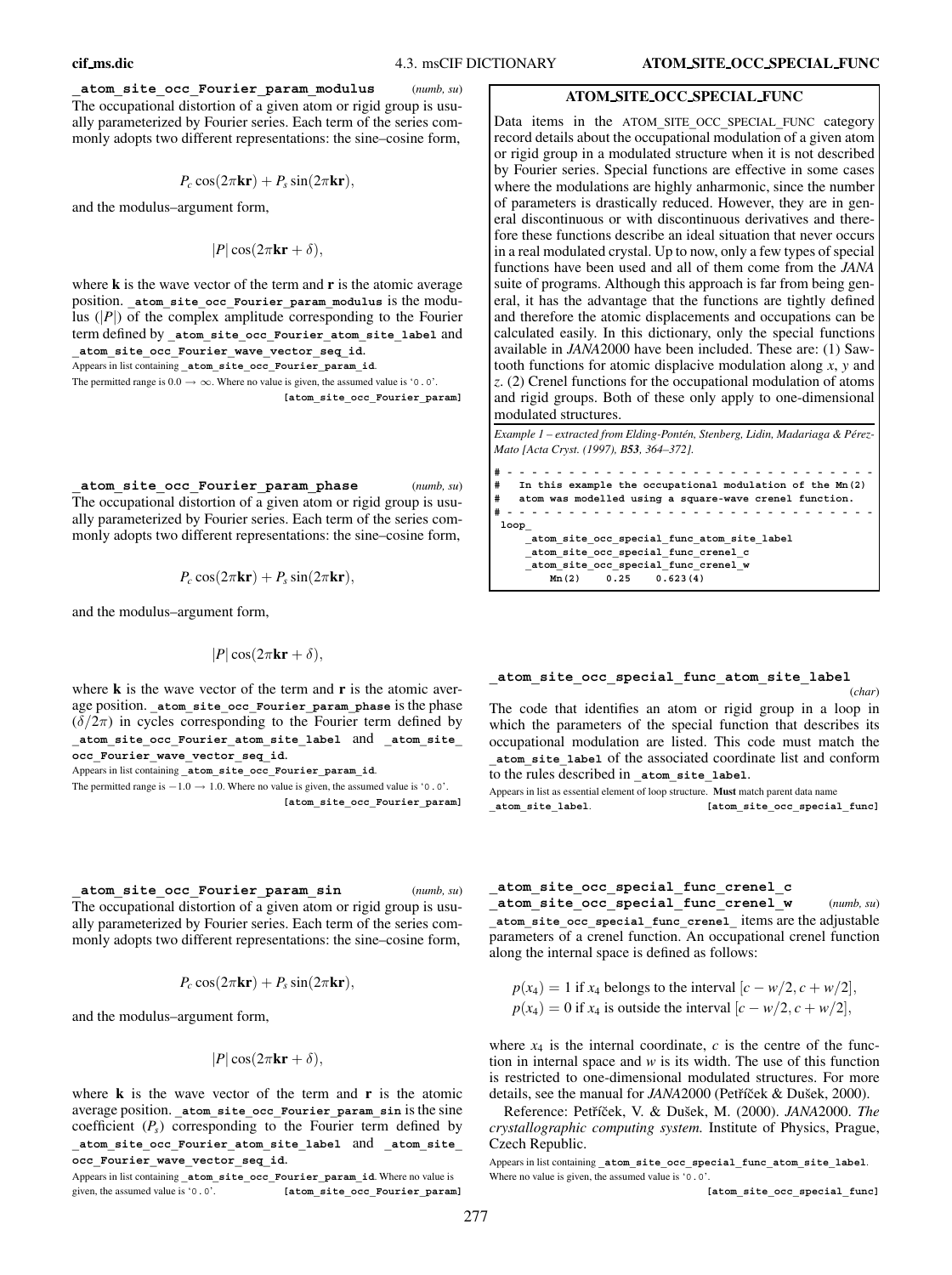**\_atom\_site\_occ\_Fourier\_param\_modulus** (*numb, su*) The occupational distortion of a given atom or rigid group is usually parameterized by Fourier series. Each term of the series commonly adopts two different representations: the sine–cosine form,

$$
P_c \cos(2\pi \mathbf{kr}) + P_s \sin(2\pi \mathbf{kr}),
$$

and the modulus–argument form,

$$
|P|\cos(2\pi\mathbf{kr}+\delta),
$$

where **k** is the wave vector of the term and **r** is the atomic average position. **\_atom\_site\_occ\_Fourier\_param\_modulus** is the modulus (|*P*|) of the complex amplitude corresponding to the Fourier term defined by **\_atom\_site\_occ\_Fourier\_atom\_site\_label** and **\_atom\_site\_occ\_Fourier\_wave\_vector\_seq\_id**.

Appears in list containing **\_atom\_site\_occ\_Fourier\_param\_id**.

The permitted range is  $0.0 \rightarrow \infty$ . Where no value is given, the assumed value is '0.0'. **[atom\_site\_occ\_Fourier\_param]**

**\_atom\_site\_occ\_Fourier\_param\_phase** (*numb, su*) The occupational distortion of a given atom or rigid group is usually parameterized by Fourier series. Each term of the series commonly adopts two different representations: the sine–cosine form,

$$
P_c \cos(2\pi \mathbf{kr}) + P_s \sin(2\pi \mathbf{kr}),
$$

and the modulus–argument form,

$$
|P|\cos(2\pi\mathbf{kr}+\delta),
$$

where **k** is the wave vector of the term and **r** is the atomic average position. atom site occ Fourier param phase is the phase  $(\delta/2\pi)$  in cycles corresponding to the Fourier term defined by **\_atom\_site\_occ\_Fourier\_atom\_site\_label** and **\_atom\_site\_ occ\_Fourier\_wave\_vector\_seq\_id**.

Appears in list containing **\_atom\_site\_occ\_Fourier\_param\_id**.

The permitted range is  $-1.0 \rightarrow 1.0$ . Where no value is given, the assumed value is '0.0'. **[atom\_site\_occ\_Fourier\_param]**

**\_atom\_site\_occ\_Fourier\_param\_sin** (*numb, su*)

The occupational distortion of a given atom or rigid group is usually parameterized by Fourier series. Each term of the series commonly adopts two different representations: the sine–cosine form,

$$
P_c \cos(2\pi \mathbf{kr}) + P_s \sin(2\pi \mathbf{kr}),
$$

and the modulus–argument form,

$$
|P|\cos(2\pi\mathbf{kr}+\delta)
$$

where **k** is the wave vector of the term and **r** is the atomic average position. **\_atom\_site\_occ\_Fourier\_param\_sin** is the sine coefficient  $(P_s)$  corresponding to the Fourier term defined by **\_atom\_site\_occ\_Fourier\_atom\_site\_label** and **\_atom\_site\_ occ\_Fourier\_wave\_vector\_seq\_id**.

Appears in list containing **\_atom\_site\_occ\_Fourier\_param\_id**. Where no value is given, the assumed value is '0.0'. **[atom\_site\_occ\_Fourier\_param**] Data items in the ATOM**\_**SITE**\_**OCC**\_**SPECIAL**\_**FUNC category record details about the occupational modulation of a given atom or rigid group in a modulated structure when it is not described by Fourier series. Special functions are effective in some cases where the modulations are highly anharmonic, since the number of parameters is drastically reduced. However, they are in general discontinuous or with discontinuous derivatives and therefore these functions describe an ideal situation that never occurs in a real modulated crystal. Up to now, only a few types of special functions have been used and all of them come from the *JANA* suite of programs. Although this approach is far from being general, it has the advantage that the functions are tightly defined and therefore the atomic displacements and occupations can be calculated easily. In this dictionary, only the special functions available in *JANA*2000 have been included. These are: (1) Sawtooth functions for atomic displacive modulation along *x*, *y* and *z*. (2) Crenel functions for the occupational modulation of atoms and rigid groups. Both of these only apply to one-dimensional modulated structures.

*Example 1 – extracted from Elding-Ponten, Stenberg, Lidin, Madariaga & P ´ erez- ´ Mato [Acta Cryst. (1997), B53, 364–372].*

```
#------------------------------
   # In this example the occupational modulation of the Mn(2)
   # atom was modelled using a square-wave crenel function.
#------------------------------
loop_
    _atom_site_occ_special_func_atom_site_label
     _atom_site_occ_special_func_crenel_c
    _atom_site_occ_special_func_crenel_w
        Mn(2) 0.25 0.623(4)
```
#### **\_atom\_site\_occ\_special\_func\_atom\_site\_label** (*char*)

The code that identifies an atom or rigid group in a loop in which the parameters of the special function that describes its occupational modulation are listed. This code must match the **\_atom\_site\_label** of the associated coordinate list and conform to the rules described in **\_atom\_site\_label**.

Appears in list as essential element of loop structure. **Must** match parent data name **\_atom\_site\_label**. **[atom\_site\_occ\_special\_func]**

#### **\_atom\_site\_occ\_special\_func\_crenel\_c**

**\_atom\_site\_occ\_special\_func\_crenel\_w** (*numb, su*) **\_atom\_site\_occ\_special\_func\_crenel\_** items are the adjustable parameters of a crenel function. An occupational crenel function along the internal space is defined as follows:

$$
p(x_4) = 1
$$
 if  $x_4$  belongs to the interval  $[c - w/2, c + w/2]$ ,  
\n $p(x_4) = 0$  if  $x_4$  is outside the interval  $[c - w/2, c + w/2]$ ,

where  $x_4$  is the internal coordinate,  $c$  is the centre of the function in internal space and *w* is its width. The use of this function is restricted to one-dimensional modulated structures. For more details, see the manual for *JANA*2000 (Petříček & Dušek, 2000).

Reference: Petříček, V. & Dušek, M. (2000). JANA2000. The *crystallographic computing system.* Institute of Physics, Prague, Czech Republic.

Appears in list containing **\_atom\_site\_occ\_special\_func\_atom\_site\_label**. Where no value is given, the assumed value is '0.0'.

**[atom\_site\_occ\_special\_func]**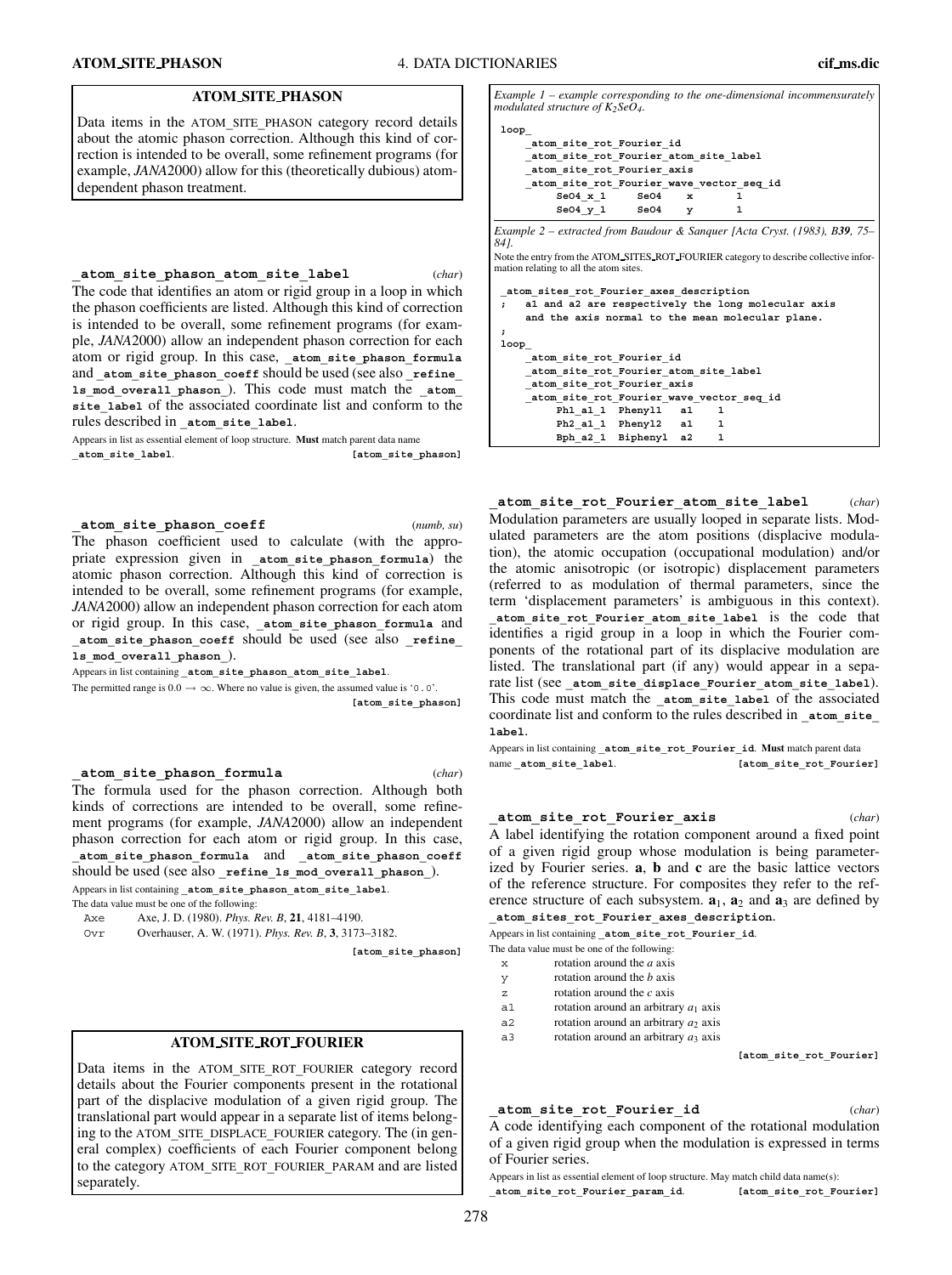# **ATOM SITE PHASON**

Data items in the ATOM**\_**SITE**\_**PHASON category record details about the atomic phason correction. Although this kind of correction is intended to be overall, some refinement programs (for example, *JANA*2000) allow for this (theoretically dubious) atomdependent phason treatment.

**\_atom\_site\_phason\_atom\_site\_label** (*char*) The code that identifies an atom or rigid group in a loop in which the phason coefficients are listed. Although this kind of correction is intended to be overall, some refinement programs (for example, *JANA*2000) allow an independent phason correction for each atom or rigid group. In this case, **\_atom\_site\_phason\_formula** and atom site phason coeff should be used (see also refine **ls\_mod\_overall\_phason\_**). This code must match the **\_atom\_ site\_label** of the associated coordinate list and conform to the rules described in **\_atom\_site\_label**.

Appears in list as essential element of loop structure. **Must** match parent data name **\_atom\_site\_label**. **[atom\_site\_phason]**

**\_atom\_site\_phason\_coeff** (*numb, su*) The phason coefficient used to calculate (with the appropriate expression given in **\_atom\_site\_phason\_formula**) the atomic phason correction. Although this kind of correction is intended to be overall, some refinement programs (for example, *JANA*2000) allow an independent phason correction for each atom or rigid group. In this case, **\_atom\_site\_phason\_formula** and **\_atom\_site\_phason\_coeff** should be used (see also **\_refine\_ ls\_mod\_overall\_phason\_**).

Appears in list containing **\_atom\_site\_phason\_atom\_site\_label**.

The permitted range is  $0.0 \rightarrow \infty$ . Where no value is given, the assumed value is '0.0'.

**[atom\_site\_phason]**

**\_atom\_site\_phason\_formula** (*char*)

The formula used for the phason correction. Although both kinds of corrections are intended to be overall, some refinement programs (for example, *JANA*2000) allow an independent phason correction for each atom or rigid group. In this case, **\_atom\_site\_phason\_formula** and **\_atom\_site\_phason\_coeff** should be used (see also **\_refine\_ls\_mod\_overall\_phason\_**). Appears in list containing **\_atom\_site\_phason\_atom\_site\_label**.

The data value must be one of the following:

- Axe Axe, J. D. (1980). *Phys. Rev. B*, **21**, 4181–4190.
- Ovr Overhauser, A. W. (1971). *Phys. Rev. B*, **3**, 3173–3182.

**[atom\_site\_phason]**

# **ATOM SITE ROT FOURIER**

Data items in the ATOM**\_**SITE**\_**ROT**\_**FOURIER category record details about the Fourier components present in the rotational part of the displacive modulation of a given rigid group. The translational part would appear in a separate list of items belonging to the ATOM**\_**SITE**\_**DISPLACE**\_**FOURIER category. The (in general complex) coefficients of each Fourier component belong to the category ATOM**\_**SITE**\_**ROT**\_**FOURIER**\_**PARAM and are listed separately.

*Example 1 – example corresponding to the one-dimensional incommensurately* modulated structure of  $K_2$ Se $O_4$ .

```
loop_
     _atom_site_rot_Fourier_id
    _atom_site_rot_Fourier_atom_site_label
     _atom_site_rot_Fourier_axis
     _atom_site_rot_Fourier_wave_vector_seq_id
         S = 04 \times 1 SeO4 x
         S = 04 \text{ y } 1 S = 04 \text{ y } 1
```
*Example 2 – extracted from Baudour & Sanquer [Acta Cryst. (1983), B39, 75– 84].* Note the entry from the ATOM SITES ROT FOURIER category to describe collective infor-

mation relating to all the atom sites.

| atom sites rot Fourier axes description<br>al and a2 are respectively the long molecular axis |  |  |  |  |  |  |  |
|-----------------------------------------------------------------------------------------------|--|--|--|--|--|--|--|
| and the axis normal to the mean molecular plane.                                              |  |  |  |  |  |  |  |
|                                                                                               |  |  |  |  |  |  |  |
| loop                                                                                          |  |  |  |  |  |  |  |
| atom site rot Fourier id                                                                      |  |  |  |  |  |  |  |
| atom site rot Fourier atom site label                                                         |  |  |  |  |  |  |  |
| atom site rot Fourier axis                                                                    |  |  |  |  |  |  |  |
| atom site rot Fourier wave vector seq id                                                      |  |  |  |  |  |  |  |
| Ph1 a1 1 Phenyl1 a1<br>-1                                                                     |  |  |  |  |  |  |  |
| Ph2 a1 1 Phenyl2 a1<br>1                                                                      |  |  |  |  |  |  |  |
| Bph a2 1 Biphenyl a2                                                                          |  |  |  |  |  |  |  |

**\_atom\_site\_rot\_Fourier\_atom\_site\_label** (*char*) Modulation parameters are usually looped in separate lists. Modulated parameters are the atom positions (displacive modulation), the atomic occupation (occupational modulation) and/or the atomic anisotropic (or isotropic) displacement parameters (referred to as modulation of thermal parameters, since the term 'displacement parameters' is ambiguous in this context).

**\_atom\_site\_rot\_Fourier\_atom\_site\_label** is the code that identifies a rigid group in a loop in which the Fourier components of the rotational part of its displacive modulation are listed. The translational part (if any) would appear in a separate list (see atom site displace Fourier atom site label). This code must match the **\_atom\_site\_label** of the associated coordinate list and conform to the rules described in **\_atom\_site\_ label**.

Appears in list containing **atom** site rot Fourier id. Must match parent data name\_atom\_site\_label. **[atom\_site\_rot\_Fourier]** 

**\_atom\_site\_rot\_Fourier\_axis** (*char*)

A label identifying the rotation component around a fixed point of a given rigid group whose modulation is being parameterized by Fourier series. **a**, **b** and **c** are the basic lattice vectors of the reference structure. For composites they refer to the reference structure of each subsystem.  $\mathbf{a}_1$ ,  $\mathbf{a}_2$  and  $\mathbf{a}_3$  are defined by **\_atom\_sites\_rot\_Fourier\_axes\_description**.

Appears in list containing **\_atom\_site\_rot\_Fourier\_id**.

- The data value must be one of the following:
- x rotation around the *a* axis
- y rotation around the *b* axis
- z rotation around the *c* axis
- a1 rotation around an arbitrary  $a_1$  axis
- a2 rotation around an arbitrary  $a_2$  axis
- a3 rotation around an arbitrary *a*<sup>3</sup> axis

**[atom\_site\_rot\_Fourier]**

# **\_atom\_site\_rot\_Fourier\_id** (*char*)

A code identifying each component of the rotational modulation of a given rigid group when the modulation is expressed in terms of Fourier series.

Appears in list as essential element of loop structure. May match child data name(s): **\_atom\_site\_rot\_Fourier\_param\_id**. **[atom\_site\_rot\_Fourier]**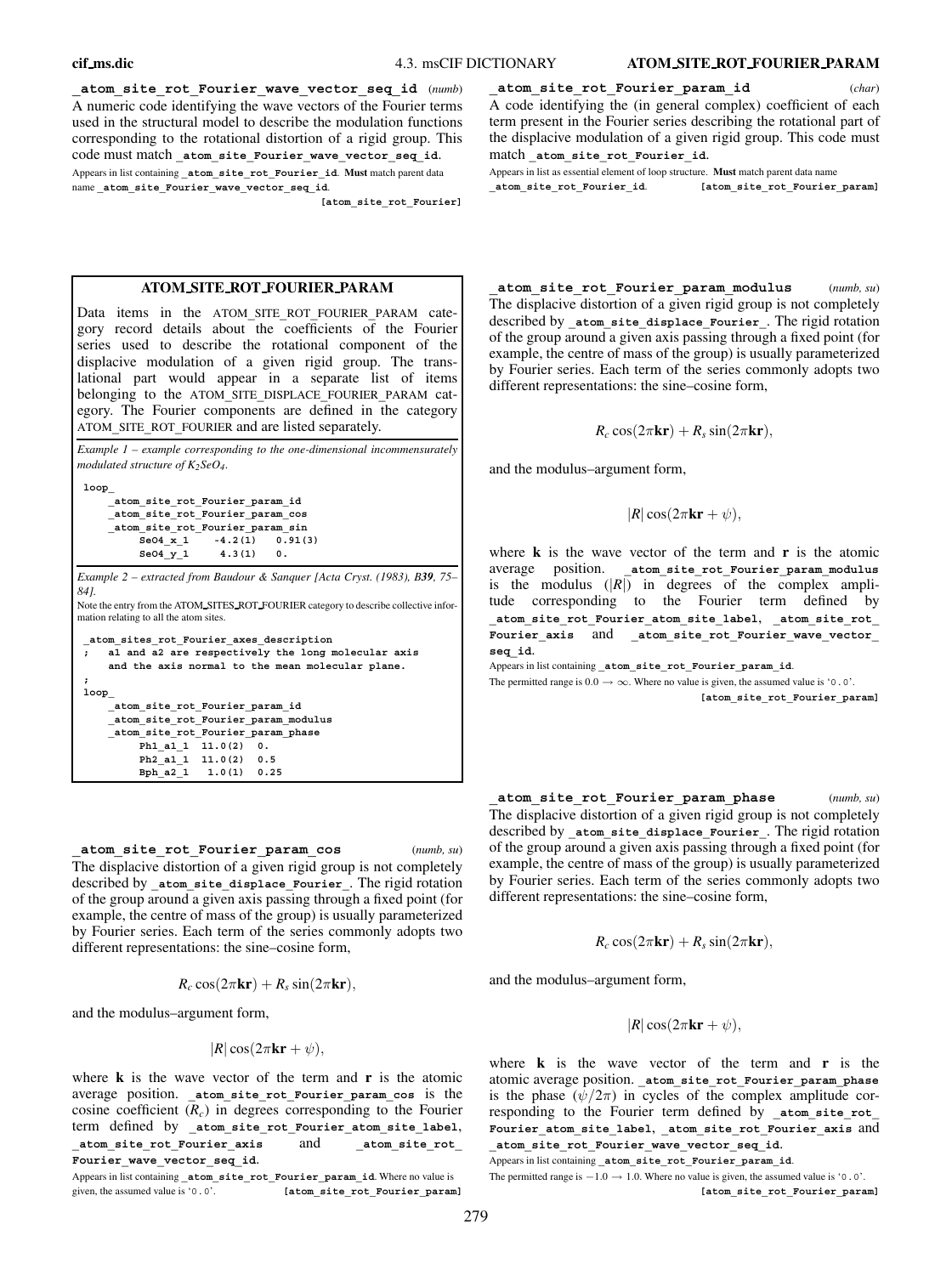**\_atom\_site\_rot\_Fourier\_wave\_vector\_seq\_id** (*numb*) A numeric code identifying the wave vectors of the Fourier terms used in the structural model to describe the modulation functions corresponding to the rotational distortion of a rigid group. This code must match **\_atom\_site\_Fourier\_wave\_vector\_seq\_id**. Appears in list containing **\_atom\_site\_rot\_Fourier\_id**. **Must** match parent data name **\_atom\_site\_Fourier\_wave\_vector\_seq\_id**.

**[atom\_site\_rot\_Fourier]**

# **ATOM SITE ROT FOURIER PARAM**

Data items in the ATOM**\_**SITE**\_**ROT**\_**FOURIER**\_**PARAM category record details about the coefficients of the Fourier series used to describe the rotational component of the displacive modulation of a given rigid group. The translational part would appear in a separate list of items belonging to the ATOM**\_**SITE**\_**DISPLACE**\_**FOURIER**\_**PARAM category. The Fourier components are defined in the category ATOM**\_**SITE**\_**ROT**\_**FOURIER and are listed separately.

| Example $1$ – example corresponding to the one-dimensional incommensurately<br>modulated structure of $K_2$ SeO <sub>4</sub> .                                                                                        |  |  |  |  |  |  |  |
|-----------------------------------------------------------------------------------------------------------------------------------------------------------------------------------------------------------------------|--|--|--|--|--|--|--|
| loop<br>atom site rot Fourier param id<br>atom site rot Fourier param cos<br>atom site rot Fourier param sin<br>Se04 x 1 $-4.2(1)$ 0.91(3)<br>Se04 y 1 4.3(1) 0.                                                      |  |  |  |  |  |  |  |
| Example 2 – extracted from Baudour & Sanquer [Acta Cryst. (1983), B39, 75–<br>841.<br>Note the entry from the ATOM_SITES_ROT_FOURIER category to describe collective infor-<br>mation relating to all the atom sites. |  |  |  |  |  |  |  |
| atom sites rot Fourier axes description<br>al and a2 are respectively the long molecular axis<br>$\mathbf{r}$<br>and the axis normal to the mean molecular plane.                                                     |  |  |  |  |  |  |  |
| $\ddot{ }$<br>loop                                                                                                                                                                                                    |  |  |  |  |  |  |  |
| atom site rot Fourier param id                                                                                                                                                                                        |  |  |  |  |  |  |  |
| _atom_site_rot_Fourier_param_modulus<br>_atom_site_rot_Fourier_param_phase                                                                                                                                            |  |  |  |  |  |  |  |
| Ph1 a1 1 11.0(2) 0.                                                                                                                                                                                                   |  |  |  |  |  |  |  |
| Ph2 a1 1 11.0(2) 0.5                                                                                                                                                                                                  |  |  |  |  |  |  |  |
| Bph_a2_1  1.0(1)  0.25                                                                                                                                                                                                |  |  |  |  |  |  |  |

**\_atom\_site\_rot\_Fourier\_param\_cos** (*numb, su*) The displacive distortion of a given rigid group is not completely described by **\_atom\_site\_displace\_Fourier\_**. The rigid rotation of the group around a given axis passing through a fixed point (for example, the centre of mass of the group) is usually parameterized by Fourier series. Each term of the series commonly adopts two different representations: the sine–cosine form,

$$
R_c \cos(2\pi \mathbf{kr}) + R_s \sin(2\pi \mathbf{kr}),
$$

and the modulus–argument form,

$$
|R|\cos(2\pi\mathbf{kr}+\psi),
$$

where **k** is the wave vector of the term and **r** is the atomic average position. **\_atom\_site\_rot\_Fourier\_param\_cos** is the cosine coefficient  $(R_c)$  in degrees corresponding to the Fourier term defined by **\_atom\_site\_rot\_Fourier\_atom\_site\_label**, **\_atom\_site\_rot\_Fourier\_axis** and **\_atom\_site\_rot\_ Fourier\_wave\_vector\_seq\_id**.

Appears in list containing **\_atom\_site\_rot\_Fourier\_param\_id**. Where no value is given, the assumed value is '0.0'. **[atom\_site\_rot\_Fourier\_param**]

**\_atom\_site\_rot\_Fourier\_param\_modulus** (*numb, su*) The displacive distortion of a given rigid group is not completely described by atom site displace Fourier. The rigid rotation of the group around a given axis passing through a fixed point (for example, the centre of mass of the group) is usually parameterized by Fourier series. Each term of the series commonly adopts two different representations: the sine–cosine form,

**\_atom\_site\_rot\_Fourier\_param\_id** (*char*) A code identifying the (in general complex) coefficient of each term present in the Fourier series describing the rotational part of the displacive modulation of a given rigid group. This code must

Appears in list as essential element of loop structure. **Must** match parent data name **\_atom\_site\_rot\_Fourier\_id**. **[atom\_site\_rot\_Fourier\_param]**

 $R_c \cos(2\pi \mathbf{k} \mathbf{r}) + R_s \sin(2\pi \mathbf{k} \mathbf{r}),$ 

and the modulus–argument form,

match **\_atom\_site\_rot\_Fourier\_id**.

$$
|R|\cos(2\pi\mathbf{kr}+\psi),
$$

where **k** is the wave vector of the term and **r** is the atomic average position. **\_atom\_site\_rot\_Fourier\_param\_modulus** is the modulus  $(|R|)$  in degrees of the complex amplitude corresponding to the Fourier term defined by **\_atom\_site\_rot\_Fourier\_atom\_site\_label**, **\_atom\_site\_rot\_** Fourier axis and **atom** site rot Fourier wave vector **seq\_id**.

Appears in list containing **\_atom\_site\_rot\_Fourier\_param\_id**.

The permitted range is  $0.0 \rightarrow \infty$ . Where no value is given, the assumed value is '0.0'. **[atom\_site\_rot\_Fourier\_param]**

**\_atom\_site\_rot\_Fourier\_param\_phase** (*numb, su*) The displacive distortion of a given rigid group is not completely described by **\_atom\_site\_displace\_Fourier\_**. The rigid rotation of the group around a given axis passing through a fixed point (for example, the centre of mass of the group) is usually parameterized by Fourier series. Each term of the series commonly adopts two different representations: the sine–cosine form,

$$
R_c \cos(2\pi \mathbf{kr}) + R_s \sin(2\pi \mathbf{kr}),
$$

and the modulus–argument form,

 $|R|\cos(2\pi \mathbf{kr} + \psi),$ 

where **k** is the wave vector of the term and **r** is the atomic average position. **\_atom\_site\_rot\_Fourier\_param\_phase** is the phase  $(\psi/2\pi)$  in cycles of the complex amplitude corresponding to the Fourier term defined by **\_atom\_site\_rot\_ Fourier\_atom\_site\_label**, **\_atom\_site\_rot\_Fourier\_axis** and **\_atom\_site\_rot\_Fourier\_wave\_vector\_seq\_id**.

Appears in list containing **\_atom\_site\_rot\_Fourier\_param\_id**.

The permitted range is  $-1.0 \rightarrow 1.0$ . Where no value is given, the assumed value is '0.0'.

**[atom\_site\_rot\_Fourier\_param]**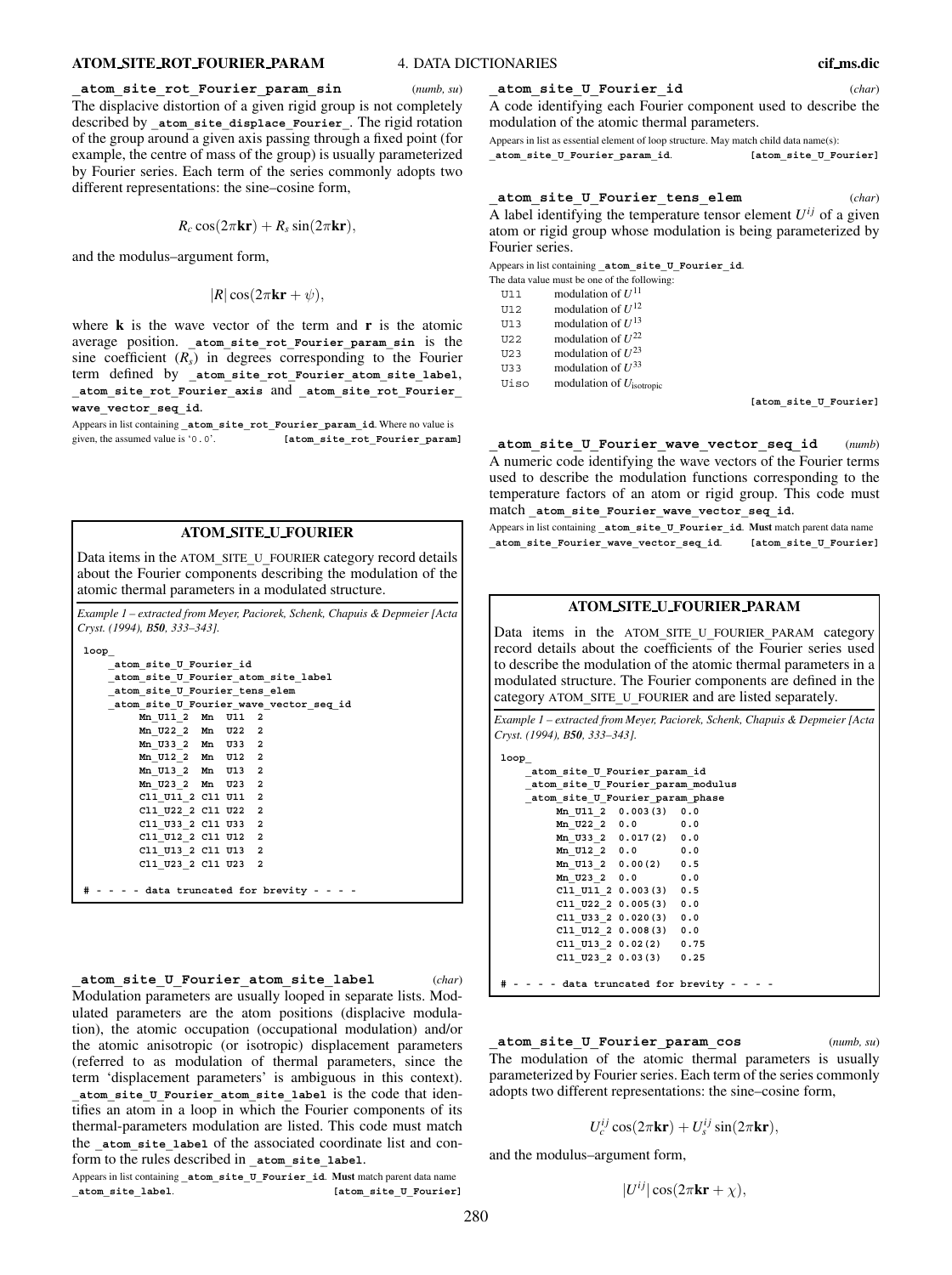#### **ATOM SITE ROT FOURIER PARAM** 4. DATA DICTIONARIES **cif ms.dic**

#### **\_atom\_site\_rot\_Fourier\_param\_sin** (*numb, su*)

The displacive distortion of a given rigid group is not completely described by **\_atom\_site\_displace\_Fourier\_**. The rigid rotation of the group around a given axis passing through a fixed point (for example, the centre of mass of the group) is usually parameterized by Fourier series. Each term of the series commonly adopts two different representations: the sine–cosine form,

$$
R_c \cos(2\pi \mathbf{kr}) + R_s \sin(2\pi \mathbf{kr}),
$$

and the modulus–argument form,

$$
|R|\cos(2\pi\mathbf{kr}+\psi),
$$

where **k** is the wave vector of the term and **r** is the atomic average position. **\_atom\_site\_rot\_Fourier\_param\_sin** is the sine coefficient  $(R<sub>s</sub>)$  in degrees corresponding to the Fourier term defined by **\_atom\_site\_rot\_Fourier\_atom\_site\_label**, **\_atom\_site\_rot\_Fourier\_axis** and **\_atom\_site\_rot\_Fourier\_ wave\_vector\_seq\_id**.

Appears in list containing **\_atom\_site\_rot\_Fourier\_param\_id**. Where no value is given, the assumed value is '0.0'. **[atom\_site\_rot\_Fourier param]** 

# **ATOM SITE U FOURIER**

Data items in the ATOM**\_**SITE**\_**U**\_**FOURIER category record details about the Fourier components describing the modulation of the atomic thermal parameters in a modulated structure.

*Example 1 – extracted from Meyer, Paciorek, Schenk, Chapuis & Depmeier [Acta Cryst. (1994), B50, 333–343].*

| loop                                       |  |
|--------------------------------------------|--|
| atom site U Fourier id                     |  |
| atom site U Fourier atom site label        |  |
| atom site U Fourier tens elem              |  |
| atom site U Fourier wave vector seq id     |  |
| Mn U11 2 Mn U11 2                          |  |
| Mn U22 2 Mn U22 2                          |  |
| Mn U33 2 Mn U33 2                          |  |
| Mn U12 2 Mn U12 2                          |  |
| Mn U13 2 Mn U13 2                          |  |
| Mn U23 2 Mn U23 2                          |  |
| C11 U11 2 C11 U11 2                        |  |
| C11 U22 2 C11 U22 2                        |  |
| C11 U33 2 C11 U33 2                        |  |
| C11 U12 2 C11 U12 2                        |  |
| C11 U13 2 C11 U13 2                        |  |
| Cl1 U23 2 Cl1 U23 2                        |  |
|                                            |  |
| # - - - - data truncated for brevity - - - |  |

**\_atom\_site\_U\_Fourier\_atom\_site\_label** (*char*) Modulation parameters are usually looped in separate lists. Modulated parameters are the atom positions (displacive modulation), the atomic occupation (occupational modulation) and/or the atomic anisotropic (or isotropic) displacement parameters (referred to as modulation of thermal parameters, since the term 'displacement parameters' is ambiguous in this context). **\_atom\_site\_U\_Fourier\_atom\_site\_label** is the code that identifies an atom in a loop in which the Fourier components of its thermal-parameters modulation are listed. This code must match the **atom** site label of the associated coordinate list and conform to the rules described in **\_atom\_site\_label**.

Appears in list containing **\_atom\_site\_U\_Fourier\_id**. **Must** match parent data name **atom\_site\_label. [atom\_site\_U\_Fourier]** 

#### **\_atom\_site\_U\_Fourier\_id** (*char*)

A code identifying each Fourier component used to describe the modulation of the atomic thermal parameters.

Appears in list as essential element of loop structure. May match child data name(s): **\_atom\_site\_U\_Fourier\_param\_id**. **[atom\_site\_U\_Fourier]**

**\_atom\_site\_U\_Fourier\_tens\_elem** (*char*)

A label identifying the temperature tensor element  $U^{ij}$  of a given atom or rigid group whose modulation is being parameterized by Fourier series.

Appears in list containing **\_atom\_site\_U\_Fourier\_id**.

|  | The data value must be one of the following: |  |  |  |  |
|--|----------------------------------------------|--|--|--|--|
|  |                                              |  |  |  |  |

- U11 modulation of  $U^{11}$
- U12 modulation of *U*<sup>12</sup>

U13 modulation of  $U^{13}$ 

U22 modulation of  $U^{22}$ 

U23 modulation of  $U^{23}$ 

U33 modulation of  $U^{33}$ 

Uiso modulation of *U*isotropic

**[atom\_site\_U\_Fourier]**

**\_atom\_site\_U\_Fourier\_wave\_vector\_seq\_id** (*numb*) A numeric code identifying the wave vectors of the Fourier terms used to describe the modulation functions corresponding to the temperature factors of an atom or rigid group. This code must match atom site Fourier wave vector seq id.

Appears in list containing **\_atom\_site\_U\_Fourier\_id**. **Must** match parent data name **\_atom\_site\_Fourier\_wave\_vector\_seq\_id**. **[atom\_site\_U\_Fourier]**

# **ATOM SITE U FOURIER PARAM**

Data items in the ATOM**\_**SITE**\_**U**\_**FOURIER**\_**PARAM category record details about the coefficients of the Fourier series used to describe the modulation of the atomic thermal parameters in a modulated structure. The Fourier components are defined in the category ATOM**\_**SITE**\_**U**\_**FOURIER and are listed separately.

*Example 1 – extracted from Meyer, Paciorek, Schenk, Chapuis & Depmeier [Acta Cryst. (1994), B50, 333–343].*

```
loop_
    _atom_site_U_Fourier_param_id
    _atom_site_U_Fourier_param_modulus
    _atom_site_U_Fourier_param_phase
        Mn_U11_2 0.003(3) 0.0
        Mn_U22_2 0.0 0.0
        Mn_U33_2 0.017(2) 0.0
        Mn_U12_2 0.0 0.0
        Mn_U13_2 0.00(2) 0.5
        Mn_U23_2 0.0 0.0
        Cl1_U11_2 0.003(3) 0.5
        Cl1_U22_2 0.005(3) 0.0
        Cl1_U33_2 0.020(3) 0.0
        Cl1_U12_2 0.008(3) 0.0
        Cl1_U13_2 0.02(2) 0.75
        Cl1_U23_2 0.03(3) 0.25
# - - - - data truncated for brevity - - - -
```
**\_atom\_site\_U\_Fourier\_param\_cos** (*numb, su*) The modulation of the atomic thermal parameters is usually parameterized by Fourier series. Each term of the series commonly adopts two different representations: the sine–cosine form,

$$
U_c^{ij}\cos(2\pi\mathbf{kr})+U_s^{ij}\sin(2\pi\mathbf{kr}),
$$

and the modulus–argument form,

280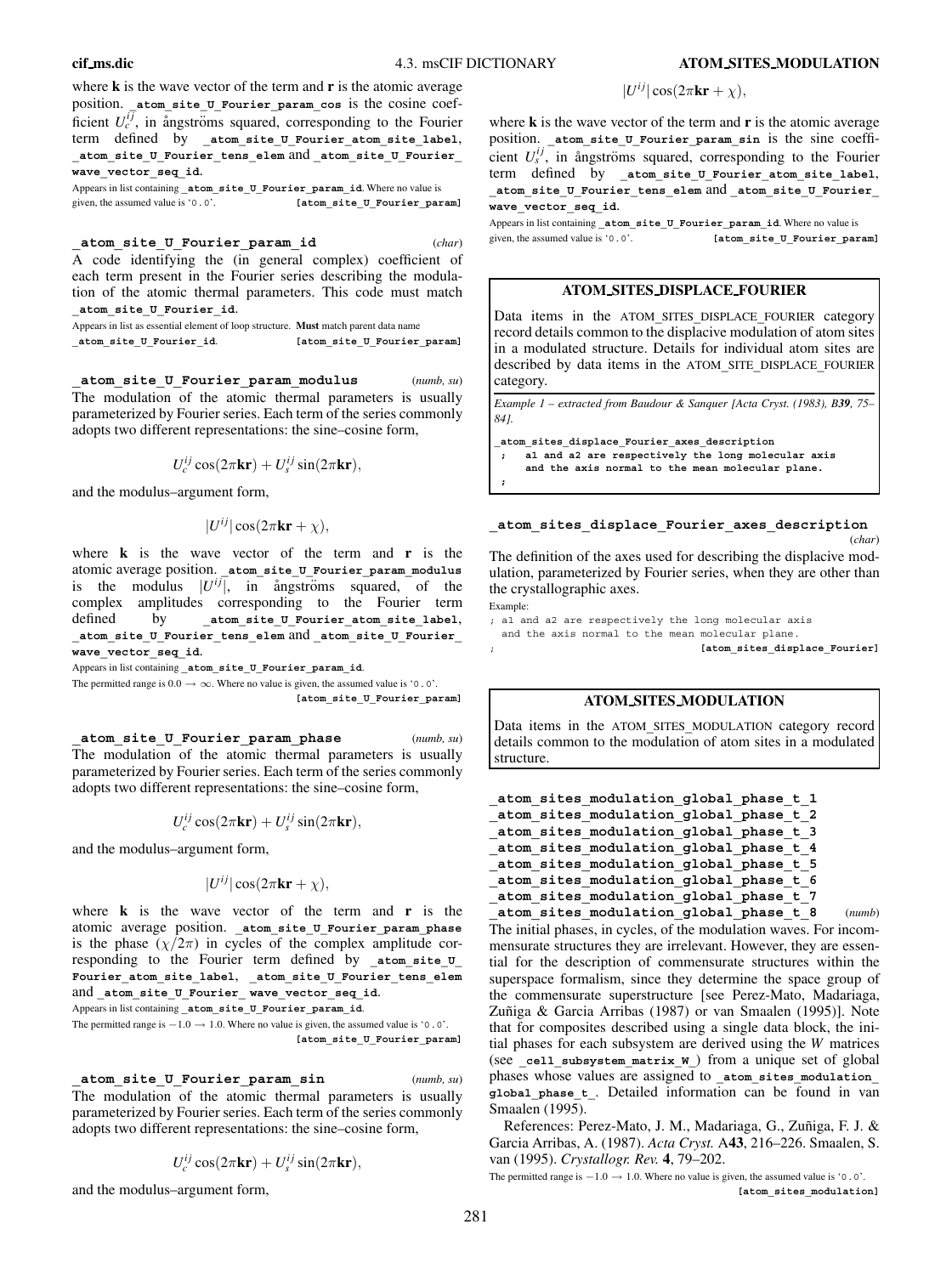**cif ms.dic** 4.3. msCIF DICTIONARY **ATOM SITES MODULATION**

where **k** is the wave vector of the term and **r** is the atomic average position. **\_atom\_site\_U\_Fourier\_param\_cos** is the cosine coefficient  $U_c^{ij}$ , in ångströms squared, corresponding to the Fourier term defined by atom site U Fourier atom site label, **\_atom\_site\_U\_Fourier\_tens\_elem** and **\_atom\_site\_U\_Fourier\_ wave\_vector\_seq\_id**.

Appears in list containing **atom site U Fourier param id**. Where no value is given, the assumed value is '0.0'. **[atom\_site\_U\_Fourier\_param]**

**\_atom\_site\_U\_Fourier\_param\_id** (*char*) A code identifying the (in general complex) coefficient of each term present in the Fourier series describing the modulation of the atomic thermal parameters. This code must match **\_atom\_site\_U\_Fourier\_id**.

Appears in list as essential element of loop structure. **Must** match parent data name **\_atom\_site\_U\_Fourier\_id**. **[atom\_site\_U\_Fourier\_param]**

**\_atom\_site\_U\_Fourier\_param\_modulus** (*numb, su*) The modulation of the atomic thermal parameters is usually parameterized by Fourier series. Each term of the series commonly adopts two different representations: the sine–cosine form,

$$
U_c^{ij}\cos(2\pi\mathbf{kr})+U_s^{ij}\sin(2\pi\mathbf{kr}),
$$

and the modulus–argument form,

$$
|U^{ij}|\cos(2\pi\mathbf{kr}+\chi),
$$

where **k** is the wave vector of the term and **r** is the atomic average position. **\_atom\_site\_U\_Fourier\_param\_modulus** is the modulus  $|U^{ij}|$ , in angstroms squared, of the complex amplitudes corresponding to the Fourier term defined by **\_atom\_site\_U\_Fourier\_atom\_site\_label**, **\_atom\_site\_U\_Fourier\_tens\_elem** and **\_atom\_site\_U\_Fourier\_ wave\_vector\_seq\_id**.

Appears in list containing **\_atom\_site\_U\_Fourier\_param\_id**.

The permitted range is  $0.0 \rightarrow \infty$ . Where no value is given, the assumed value is '0.0'. **[atom\_site\_U\_Fourier\_param]**

**\_atom\_site\_U\_Fourier\_param\_phase** (*numb, su*) The modulation of the atomic thermal parameters is usually parameterized by Fourier series. Each term of the series commonly adopts two different representations: the sine–cosine form,

$$
U_c^{ij}\cos(2\pi \mathbf{kr}) + U_s^{ij}\sin(2\pi \mathbf{kr}),
$$

and the modulus–argument form,

$$
|U^{ij}|\cos(2\pi \mathbf{kr}+\chi),
$$

where **k** is the wave vector of the term and **r** is the atomic average position. **\_atom\_site\_U\_Fourier\_param\_phase** is the phase  $(\chi/2\pi)$  in cycles of the complex amplitude corresponding to the Fourier term defined by **\_atom\_site\_U\_ Fourier\_atom\_site\_label**, **\_atom\_site\_U\_Fourier\_tens\_elem** and atom site U Fourier wave vector seq id.

Appears in list containing **\_atom\_site\_U\_Fourier\_param\_id**.

The permitted range is  $-1.0 \rightarrow 1.0$ . Where no value is given, the assumed value is '0.0'. **[atom\_site\_U\_Fourier\_param]**

**\_atom\_site\_U\_Fourier\_param\_sin** (*numb, su*) The modulation of the atomic thermal parameters is usually parameterized by Fourier series. Each term of the series commonly adopts two different representations: the sine–cosine form,

$$
U_c^{ij}\cos(2\pi\mathbf{kr})+U_s^{ij}\sin(2\pi\mathbf{kr}),
$$

and the modulus–argument form,

# $|U^{ij}| \cos(2\pi \mathbf{k} \mathbf{r} + \chi),$

where **k** is the wave vector of the term and **r** is the atomic average position. atom site U Fourier param sin is the sine coefficient  $U_s^{ij}$ , in ångströms squared, corresponding to the Fourier term defined by atom site U Fourier atom site label, **\_atom\_site\_U\_Fourier\_tens\_elem** and **\_atom\_site\_U\_Fourier\_ wave\_vector\_seq\_id**.

Appears in list containing **\_atom\_site\_U\_Fourier\_param\_id**. Where no value is given, the assumed value is '0.0'. **[atom\_site U\_Fourier\_param]** 

# **ATOM SITES DISPLACE FOURIER**

Data items in the ATOM**\_**SITES**\_**DISPLACE**\_**FOURIER category record details common to the displacive modulation of atom sites in a modulated structure. Details for individual atom sites are described by data items in the ATOM**\_**SITE**\_**DISPLACE**\_**FOURIER category.

*Example 1 – extracted from Baudour & Sanquer [Acta Cryst. (1983), B39, 75– 84].*

**\_atom\_sites\_displace\_Fourier\_axes\_description**

- **; a1 and a2 are respectively the long molecular axis**
- **and the axis normal to the mean molecular plane. ;**

# **\_atom\_sites\_displace\_Fourier\_axes\_description**

(*char*)

The definition of the axes used for describing the displacive modulation, parameterized by Fourier series, when they are other than the crystallographic axes.

Example:

; a1 and a2 are respectively the long molecular axis and the axis normal to the mean molecular plane.

; **[atom\_sites\_displace\_Fourier]**

# **ATOM SITES MODULATION**

Data items in the ATOM**\_**SITES**\_**MODULATION category record details common to the modulation of atom sites in a modulated structure.

```
_atom_sites_modulation_global_phase_t_1
_atom_sites_modulation_global_phase_t_2
_atom_sites_modulation_global_phase_t_3
_atom_sites_modulation_global_phase_t_4
_atom_sites_modulation_global_phase_t_5
_atom_sites_modulation_global_phase_t_6
_atom_sites_modulation_global_phase_t_7
```
**\_atom\_sites\_modulation\_global\_phase\_t\_8** (*numb*) The initial phases, in cycles, of the modulation waves. For incommensurate structures they are irrelevant. However, they are essential for the description of commensurate structures within the superspace formalism, since they determine the space group of the commensurate superstructure [see Perez-Mato, Madariaga, Zuñiga & Garcia Arribas (1987) or van Smaalen (1995)]. Note that for composites described using a single data block, the initial phases for each subsystem are derived using the *W* matrices (see cell subsystem matrix **w** ) from a unique set of global phases whose values are assigned to **\_atom\_sites\_modulation\_ global\_phase\_t\_**. Detailed information can be found in van Smaalen (1995).

References: Perez-Mato, J. M., Madariaga, G., Zuñiga, F. J. & Garcia Arribas, A. (1987). *Acta Cryst.* A**43**, 216–226. Smaalen, S. van (1995). *Crystallogr. Rev.* **4**, 79–202.

The permitted range is  $-1.0 \rightarrow 1.0$ . Where no value is given, the assumed value is '0.0'. **[atom\_sites\_modulation]**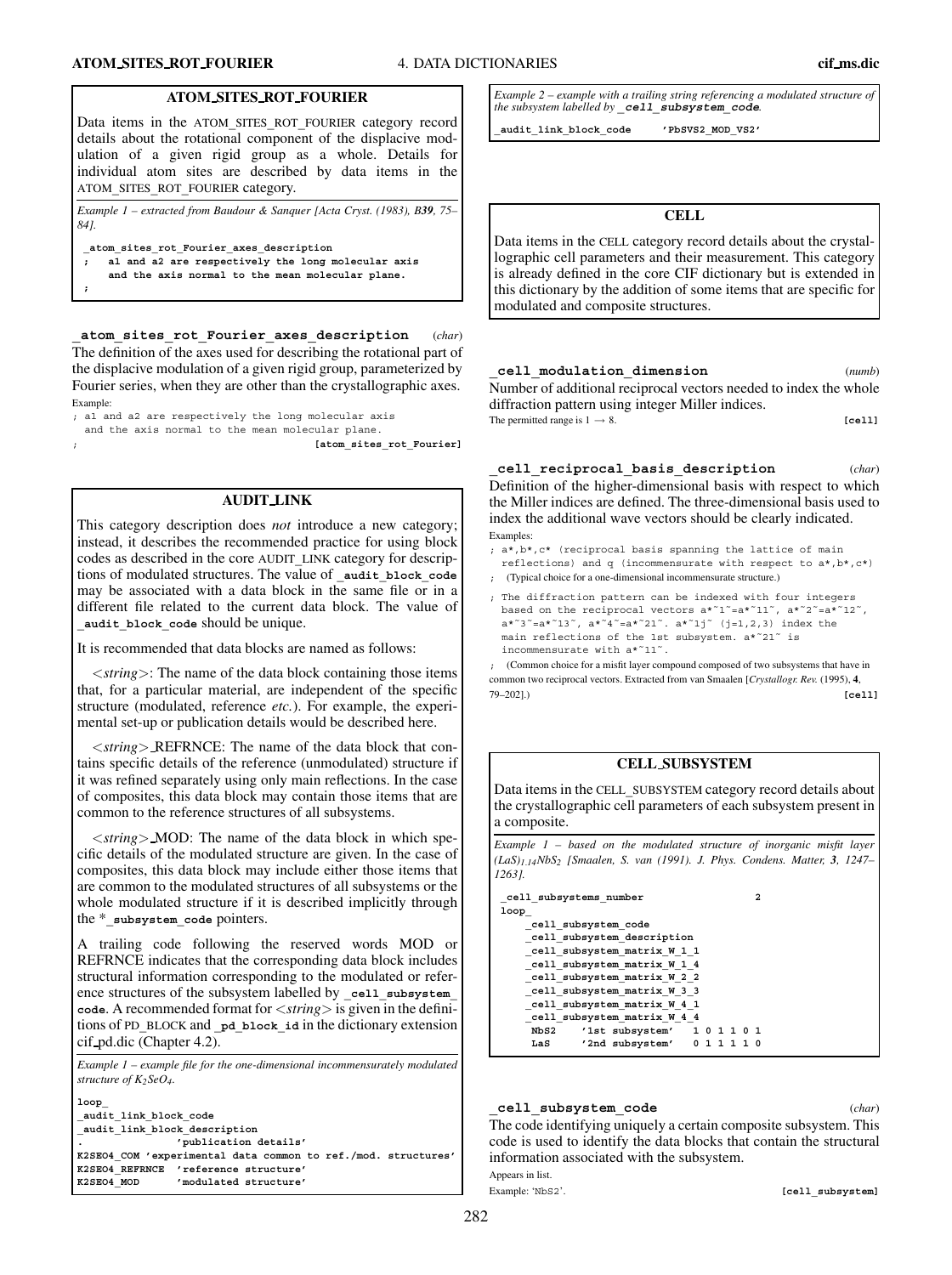**;**

Data items in the ATOM**\_**SITES**\_**ROT**\_**FOURIER category record details about the rotational component of the displacive modulation of a given rigid group as a whole. Details for individual atom sites are described by data items in the ATOM**\_**SITES**\_**ROT**\_**FOURIER category.

*Example 1 – extracted from Baudour & Sanquer [Acta Cryst. (1983), B39, 75– 84].*

**\_atom\_sites\_rot\_Fourier\_axes\_description**

- **; a1 and a2 are respectively the long molecular axis**
	- **and the axis normal to the mean molecular plane.**

**\_atom\_sites\_rot\_Fourier\_axes\_description** (*char*) The definition of the axes used for describing the rotational part of the displacive modulation of a given rigid group, parameterized by Fourier series, when they are other than the crystallographic axes. Example:

- ; a1 and a2 are respectively the long molecular axis
- and the axis normal to the mean molecular plane.

; **[atom\_sites\_rot\_Fourier]**

# **AUDIT LINK**

This category description does *not* introduce a new category; instead, it describes the recommended practice for using block codes as described in the core AUDIT**\_**LINK category for descriptions of modulated structures. The value of **\_audit\_block\_code** may be associated with a data block in the same file or in a different file related to the current data block. The value of **\_audit\_block\_code** should be unique.

It is recommended that data blocks are named as follows:

<*string*>: The name of the data block containing those items that, for a particular material, are independent of the specific structure (modulated, reference *etc.*). For example, the experimental set-up or publication details would be described here.

<*string*> REFRNCE: The name of the data block that contains specific details of the reference (unmodulated) structure if it was refined separately using only main reflections. In the case of composites, this data block may contain those items that are common to the reference structures of all subsystems.

 $\langle$ *string* $>$ **MOD**: The name of the data block in which specific details of the modulated structure are given. In the case of composites, this data block may include either those items that are common to the modulated structures of all subsystems or the whole modulated structure if it is described implicitly through the \***\_subsystem\_code** pointers.

A trailing code following the reserved words MOD or REFRNCE indicates that the corresponding data block includes structural information corresponding to the modulated or reference structures of the subsystem labelled by cell subsystem **code**. A recommended format for <*string*> is given in the definitions of PD**\_**BLOCK and **\_pd\_block\_id** in the dictionary extension cif pd.dic (Chapter 4.2).

*Example 1 – example file for the one-dimensional incommensurately modulated structure of K2SeO4.*

| loop                                                          |  |  |  |  |  |  |  |
|---------------------------------------------------------------|--|--|--|--|--|--|--|
| audit link block code                                         |  |  |  |  |  |  |  |
| audit link block description                                  |  |  |  |  |  |  |  |
| 'publication details'<br>$\bullet$                            |  |  |  |  |  |  |  |
| K2SE04 COM 'experimental data common to ref./mod. structures' |  |  |  |  |  |  |  |
| K2SE04 REFRNCE 'reference structure'                          |  |  |  |  |  |  |  |
| K2SEO4 MOD<br>'modulated structure'                           |  |  |  |  |  |  |  |

*Example 2 – example with a trailing string referencing a modulated structure of the subsystem labelled by* **\_cell\_subsystem\_code***.*

**\_audit\_link\_block\_code 'PbSVS2\_MOD\_VS2'**

# **CELL**

Data items in the CELL category record details about the crystallographic cell parameters and their measurement. This category is already defined in the core CIF dictionary but is extended in this dictionary by the addition of some items that are specific for modulated and composite structures.

# **\_cell\_modulation\_dimension** (*numb*)

Number of additional reciprocal vectors needed to index the whole diffraction pattern using integer Miller indices. The permitted range is  $1 \rightarrow 8$ . [cell]

**\_cell\_reciprocal\_basis\_description** (*char*)

Definition of the higher-dimensional basis with respect to which the Miller indices are defined. The three-dimensional basis used to index the additional wave vectors should be clearly indicated. Examples:

- ; a\*,b\*,c\* (reciprocal basis spanning the lattice of main
- reflections) and q (incommensurate with respect to  $a^*$ ,  $b^*$ ,  $c^*$ ) ; (Typical choice for a one-dimensional incommensurate structure.)
- ; The diffraction pattern can be indexed with four integers based on the reciprocal vectors a\*˜1˜=a\*˜11˜, a\*˜2˜=a\*˜12˜,  $a*^3 = a*^13$ ,  $a*^4 = a*^21$ ,  $a*^1j$  (j=1,2,3) index the main reflections of the 1st subsystem. a\*˜21˜ is incommensurate with a\*˜11˜.

; (Common choice for a misfit layer compound composed of two subsystems that have in common two reciprocal vectors. Extracted from van Smaalen [*Crystallogr. Rev.* (1995), **4**, 79–202].) **[cell]**

# **CELL SUBSYSTEM**

Data items in the CELL**\_**SUBSYSTEM category record details about the crystallographic cell parameters of each subsystem present in a composite.

*Example 1 – based on the modulated structure of inorganic misfit layer (LaS)1*.*14NbS2 [Smaalen, S. van (1991). J. Phys. Condens. Matter, 3, 1247– 1263].*

| cell subsystems number |                     |                               |  |  |  |     | 2 |  |  |
|------------------------|---------------------|-------------------------------|--|--|--|-----|---|--|--|
| loop                   |                     |                               |  |  |  |     |   |  |  |
|                        | cell subsystem code |                               |  |  |  |     |   |  |  |
|                        |                     | cell subsystem description    |  |  |  |     |   |  |  |
|                        |                     | cell subsystem matrix W 1 1   |  |  |  |     |   |  |  |
|                        |                     | cell subsystem matrix W 1 4   |  |  |  |     |   |  |  |
|                        |                     | cell subsystem matrix W 2 2   |  |  |  |     |   |  |  |
|                        |                     | cell subsystem matrix W 3 3   |  |  |  |     |   |  |  |
|                        |                     | cell subsystem matrix W 4 1   |  |  |  |     |   |  |  |
|                        |                     | cell subsystem matrix W 4 4   |  |  |  |     |   |  |  |
| NbS2                   |                     | '1st subsystem' $1 0 1 1 0 1$ |  |  |  |     |   |  |  |
|                        |                     | LaS '2nd subsystem' 0 1 1     |  |  |  | 110 |   |  |  |

#### **\_cell\_subsystem\_code** (*char*)

The code identifying uniquely a certain composite subsystem. This code is used to identify the data blocks that contain the structural information associated with the subsystem. Appears in list.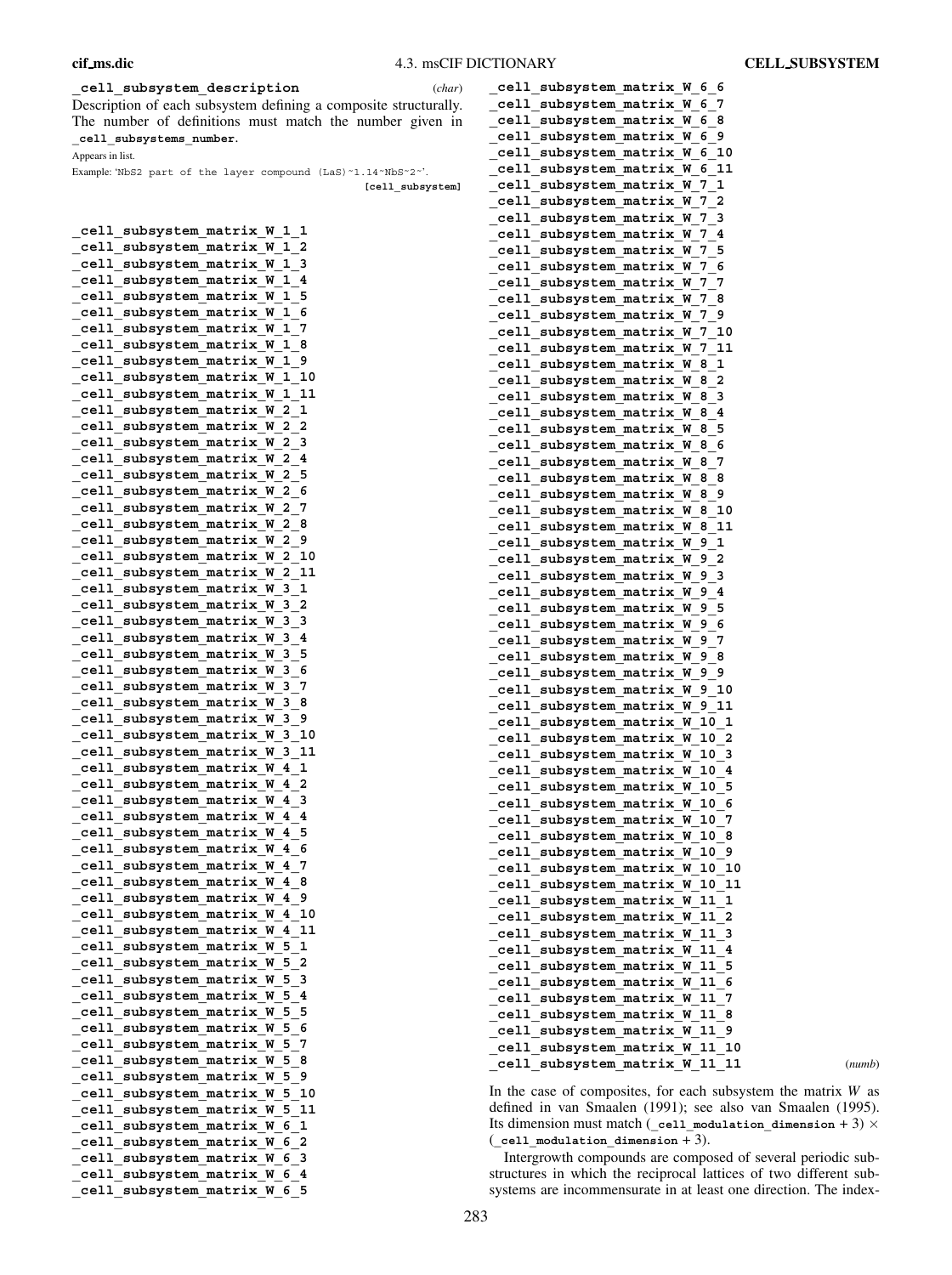# **\_cell\_subsystem\_description** (*char*)

Description of each subsystem defining a composite structurally. The number of definitions must match the number given in **\_cell\_subsystems\_number**.

Appears in list.

Example: 'NbS2 part of the layer compound (LaS)˜1.14˜NbS˜2˜'.

**[cell\_subsystem]**

| W<br>1<br>1<br>cell<br>subsystem matrix                                                  |
|------------------------------------------------------------------------------------------|
| cell<br>M<br>1<br>2<br>subsystem<br>matrix                                               |
| 3<br>cell<br>M<br>1<br>subsystem<br>matrix                                               |
| c <sub>e11</sub><br>1<br>4<br>W<br>subsystem<br>matrix                                   |
| 1<br>5<br>cell<br>W<br>subsystem<br>matrix                                               |
| cell<br>6<br>matrix<br>W<br>1<br>subsystem                                               |
| 7<br>cell<br>W<br>1<br>subsystem<br>matrix                                               |
| matrix<br>W<br>1<br>8<br>cell                                                            |
| subsystem                                                                                |
| W<br>9<br>cell<br>subsystem<br>matrix<br>1                                               |
| c <sub>e11</sub><br>W<br>1<br>10<br>matrix<br>subsystem                                  |
| 1<br>11<br>cell<br>W<br>subsystem<br>matrix                                              |
| 2<br>1<br>cell<br>matrix<br>M<br>subsystem                                               |
| 2<br>cell<br>M<br>2<br>subsystem<br>matrix                                               |
| W<br>cell<br>2<br>3<br>subsystem<br>matrix                                               |
| W<br>4<br>cell<br>matrix<br>2<br>subsystem                                               |
| cell<br>W<br>2<br>5<br>matrix<br>subsystem                                               |
| 6<br>cell<br>matrix<br>W<br>2<br>subsystem                                               |
| cell<br>W<br>2<br>7<br>subsystem<br>matrix                                               |
| M<br>2<br>8<br>cell<br>matrix<br>subsystem                                               |
| 9<br>cell<br>subsystem<br>matrix<br>W<br>2                                               |
| 10<br>cell<br>W<br>2<br>subsystem<br>matrix                                              |
| $\overline{c}$<br>11<br>cell<br>matrix<br>W<br>subsystem                                 |
| c <sub>e11</sub><br>1<br>subsystem<br>matrix<br>W<br>з                                   |
| $\overline{a}$<br>3<br>cell<br>M<br>subsystem<br>matrix                                  |
| M<br>з<br>3<br>cell<br>subsystem<br>matrix                                               |
| 4<br>cell<br>W<br>3<br>subsystem<br>matrix                                               |
| $c$ ell<br>5<br>matrix<br>W<br>3<br>subsystem                                            |
| 3<br>6<br>W                                                                              |
| cell<br>matrix<br>subsystem<br>3                                                         |
| cell<br>matrix<br>W<br>7<br>subsystem                                                    |
| cell<br>matrix<br>W<br>3<br>8<br>subsystem                                               |
| 3<br>matrix<br>W<br>9<br>cell<br>subsystem                                               |
| $c$ ell<br>W<br>3<br>10<br>subsystem<br>matrix                                           |
| $c$ ell<br>3<br>11<br>matrix<br>W<br>subsystem                                           |
| 1<br>cell<br>W<br>4<br>subsystem<br>matrix                                               |
| $\overline{a}$<br>cell<br>matrix<br>W<br>4<br>subsystem                                  |
| M<br>3<br>cell<br>matrix<br>4<br>subsystem                                               |
| W<br>4<br>4<br>cell<br>subsystem<br>matrix                                               |
| 4<br>5<br>cell<br>matrix<br>W<br>subsystem                                               |
| cell<br>W<br>4<br>6<br>matrix<br>subsystem                                               |
| 7<br>cell<br>W<br>4<br>subsystem<br>matrix                                               |
| cell<br>subsystem matrix<br>4<br>M<br>8                                                  |
| 4<br>9<br>cell<br>matrix<br>M<br>subsystem                                               |
| cell<br>subsystem<br>W<br>10<br>matrix<br>4                                              |
| c <sub>e11</sub><br>4<br>11<br>subsystem<br>matrix<br>M                                  |
| 1<br>cell<br>subsystem<br>matrix<br>W<br>5                                               |
| 2<br>cell<br>subsystem<br>5<br>matrix<br>M                                               |
| 3<br>cell<br>subsystem<br>matrix<br>M<br>5                                               |
| 4<br>c <sub>e11</sub><br>subsystem<br>matrix<br>M<br>5                                   |
| cell<br>subsystem<br>5<br>matrix<br>W<br>5                                               |
| cell<br>subsystem<br>matrix<br>W<br>5<br>6                                               |
|                                                                                          |
| 7<br>cell<br>subsystem<br>matrix<br>W<br>5<br>cell<br>subsystem<br>matrix<br>M<br>5<br>8 |
|                                                                                          |
|                                                                                          |
| cell<br>9<br>subsystem<br>matrix<br>M<br>5                                               |
| subsystem<br>matrix<br>10<br>cell<br>M<br>5                                              |
| cell<br>11<br>subsystem<br>matrix<br>M<br>5                                              |
| cell<br>1<br>subsystem<br>matrix<br>M<br>6                                               |
| 2<br>cell<br>subsystem<br>matrix<br>W<br>6                                               |
| 3<br>cell<br>subsystem<br>matrix<br>M<br>6                                               |
| cell<br>4<br>subsystem<br>matrix<br>M<br>6<br>cell<br>subsystem<br>matrix<br>W<br>6<br>5 |

| cell subsystem matrix W 6 6                                    |        |
|----------------------------------------------------------------|--------|
| cell subsystem matrix W<br>7<br>6                              |        |
| cell subsystem matrix W<br>6<br>8                              |        |
| cell subsystem matrix W<br>9<br>6                              |        |
| cell subsystem matrix W<br>6<br>10                             |        |
| cell subsystem matrix W 6<br>11                                |        |
| cell subsystem matrix W<br>7<br>1                              |        |
| cell subsystem matrix W<br>7<br>2                              |        |
| cell subsystem matrix W<br>-7<br>з                             |        |
| cell subsystem matrix W<br>7<br>4                              |        |
| cell subsystem matrix W<br>7<br>5                              |        |
| cell subsystem matrix W<br>6<br>7                              |        |
| cell subsystem matrix W<br>7<br>7                              |        |
| cell subsystem matrix W<br>7<br>8                              |        |
| cell subsystem matrix W<br>7<br>9                              |        |
| cell subsystem matrix W<br>10<br>7                             |        |
| cell subsystem matrix W<br>11<br>-7                            |        |
|                                                                |        |
| cell subsystem matrix W 8<br>1                                 |        |
| cell subsystem matrix W<br>2<br>8                              |        |
| cell subsystem matrix W<br>8<br>3                              |        |
| cell subsystem matrix W<br>8<br>4                              |        |
| cell subsystem matrix W<br>8<br>5                              |        |
| cell subsystem matrix W<br>8<br>6                              |        |
| cell subsystem matrix W<br>8<br>7                              |        |
| cell subsystem matrix W<br>8<br>8                              |        |
| cell subsystem matrix W<br>8<br>9                              |        |
| cell subsystem matrix W<br>10<br>8                             |        |
| cell subsystem matrix W<br>8<br>11                             |        |
| cell subsystem matrix W 9<br>1                                 |        |
| cell subsystem matrix W<br>$\overline{\mathbf{2}}$<br>9        |        |
| cell subsystem matrix W<br>9.<br>3                             |        |
| cell subsystem matrix W<br>9<br>4                              |        |
| cell<br>subsystem matrix W<br>9<br>5                           |        |
| cell subsystem matrix W<br>9<br>6                              |        |
| cell subsystem matrix W 9<br>7                                 |        |
| cell subsystem matrix W<br>9<br>8                              |        |
| cell<br>subsystem matrix W<br>9<br>9                           |        |
| cell subsystem matrix W 9<br>10                                |        |
| cell subsystem matrix W<br>9<br>11                             |        |
| cell subsystem matrix W<br>10<br>1                             |        |
| subsystem matrix<br>cell<br>W<br>10<br>2                       |        |
| cell<br>subsystem matrix W<br>3<br>10                          |        |
| cell<br>subsystem matrix W<br>10<br>4                          |        |
| cell<br>subsystem matrix W<br>10<br>5                          |        |
| cell<br>subsystem matrix<br>10<br>W<br>6                       |        |
| cell<br>subsystem matrix<br>10<br>7<br>W                       |        |
| cell<br>subsystem matrix<br>W<br>10<br>8                       |        |
| cell<br>subsystem matrix<br>W<br>10<br>9                       |        |
| cell<br>subsystem matrix W<br>10<br>10                         |        |
| cell<br>subsystem matrix W<br>10<br>11                         |        |
| cell<br>11<br>subsystem matrix<br>W<br>1                       |        |
| $\overline{\mathbf{c}}$<br>cell<br>subsystem matrix<br>W<br>11 |        |
| $c$ ell<br>subsystem matrix<br>W<br>11<br>3                    |        |
| cell<br>subsystem matrix W<br>11<br>4                          |        |
| cell<br>subsystem matrix W<br>11<br>5                          |        |
| cell<br>subsystem matrix W<br>11<br>6                          |        |
| cell<br>subsystem matrix<br>11<br>W<br>7                       |        |
| cell<br>W<br>11<br>8<br>subsystem matrix                       |        |
| cell<br>subsystem matrix<br>W<br>11<br>9                       |        |
| cell<br>subsystem matrix W<br>11<br>10                         |        |
| cell<br>subsystem matrix W<br>11<br>11                         | (numb) |

In the case of composites, for each subsystem the matrix *W* as defined in van Smaalen (1991); see also van Smaalen (1995). Its dimension must match (**\_cell\_modulation\_dimension** + 3) × (**\_cell\_modulation\_dimension** + 3).

Intergrowth compounds are composed of several periodic substructures in which the reciprocal lattices of two different subsystems are incommensurate in at least one direction. The index-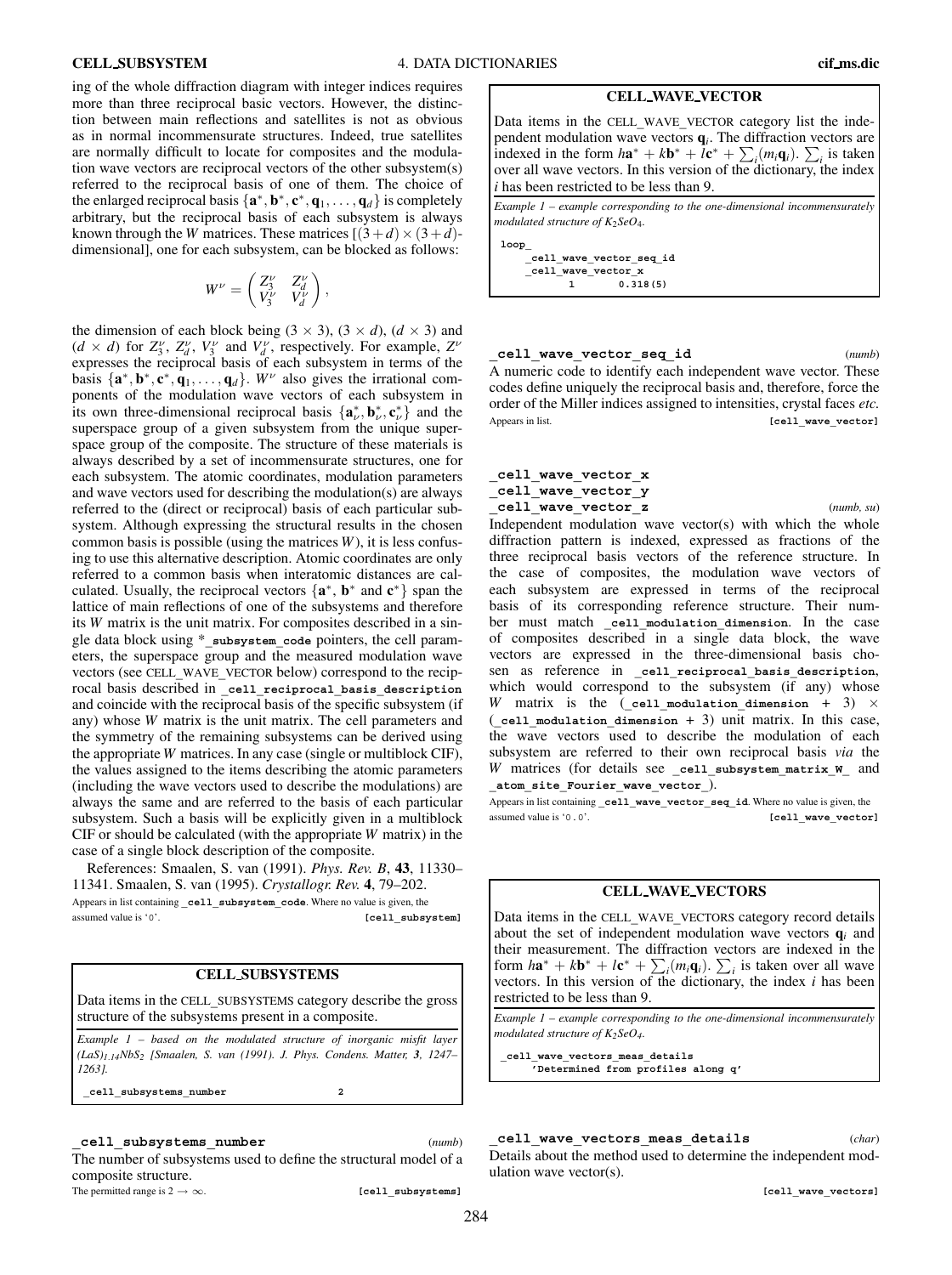**CELL WAVE VECTOR**

Data items in the CELL**\_**WAVE**\_**VECTOR category list the independent modulation wave vectors **q***i*. The diffraction vectors are indexed in the form  $h\mathbf{a}^* + k\mathbf{b}^* + l\mathbf{c}^* + \sum_i (m_i \mathbf{q}_i)$ .  $\sum_i$  is taken over all wave vectors. In this version of the dictionary, the index *i* has been restricted to be less than 9.

*Example 1 – example corresponding to the one-dimensional incommensurately*  $modulated structure of K<sub>2</sub>SeO<sub>4</sub>$ .

**loop\_**

**\_cell\_wave\_vector\_seq\_id \_cell\_wave\_vector\_x 1 0.318(5)**

**\_cell\_wave\_vector\_seq\_id** (*numb*) A numeric code to identify each independent wave vector. These codes define uniquely the reciprocal basis and, therefore, force the

order of the Miller indices assigned to intensities, crystal faces *etc.* Appears in list. *Appears* in list.

# **\_cell\_wave\_vector\_x \_cell\_wave\_vector\_y**

**\_cell\_wave\_vector\_z** (*numb, su*) Independent modulation wave vector(s) with which the whole diffraction pattern is indexed, expressed as fractions of the three reciprocal basis vectors of the reference structure. In the case of composites, the modulation wave vectors of each subsystem are expressed in terms of the reciprocal basis of its corresponding reference structure. Their number must match **\_cell\_modulation\_dimension**. In the case of composites described in a single data block, the wave vectors are expressed in the three-dimensional basis chosen as reference in **\_cell\_reciprocal\_basis\_description**, which would correspond to the subsystem (if any) whose *W* matrix is the (cell modulation dimension + 3)  $\times$ (**\_cell\_modulation\_dimension** + 3) unit matrix. In this case, the wave vectors used to describe the modulation of each subsystem are referred to their own reciprocal basis *via* the *W* matrices (for details see **\_cell\_subsystem\_matrix\_W\_** and **\_atom\_site\_Fourier\_wave\_vector\_**).

Appears in list containing **\_cell\_wave\_vector\_seq\_id**. Where no value is given, the assumed value is '0.0'. **[cell wave vector]** 

## **CELL WAVE VECTORS**

Data items in the CELL**\_**WAVE**\_**VECTORS category record details about the set of independent modulation wave vectors  $q_i$  and their measurement. The diffraction vectors are indexed in the form  $h\mathbf{a}^* + k\mathbf{b}^* + l\mathbf{c}^* + \sum_i (m_i \mathbf{q}_i)$ .  $\sum_i$  is taken over all wave vectors. In this version of the dictionary, the index *i* has been restricted to be less than 9.

*Example 1 – example corresponding to the one-dimensional incommensurately*  $modulated structure of K<sub>2</sub>SeO<sub>4</sub>.$ 

**\_cell\_wave\_vectors\_meas\_details 'Determined from profiles along q'**

**\_cell\_wave\_vectors\_meas\_details** (*char*) Details about the method used to determine the independent modulation wave vector(s).

**[cell\_wave\_vectors]**

ing of the whole diffraction diagram with integer indices requires more than three reciprocal basic vectors. However, the distinction between main reflections and satellites is not as obvious as in normal incommensurate structures. Indeed, true satellites are normally difficult to locate for composites and the modulation wave vectors are reciprocal vectors of the other subsystem(s) referred to the reciprocal basis of one of them. The choice of the enlarged reciprocal basis  $\{a^*, b^*, c^*, q_1, \ldots, q_d\}$  is completely arbitrary, but the reciprocal basis of each subsystem is always known through the *W* matrices. These matrices  $(3+d) \times (3+d)$ dimensional], one for each subsystem, can be blocked as follows:

$$
W^{\nu} = \begin{pmatrix} Z_3^{\nu} & Z_d^{\nu} \\ V_3^{\nu} & V_d^{\nu} \end{pmatrix},
$$

the dimension of each block being  $(3 \times 3)$ ,  $(3 \times d)$ ,  $(d \times 3)$  and  $(d \times d)$  for  $Z_3^{\nu}$ ,  $Z_d^{\nu}$ ,  $V_3^{\nu}$  and  $V_d^{\nu}$ , respectively. For example,  $Z^{\nu}$ expresses the reciprocal basis of each subsystem in terms of the basis  $\{a^*, b^*, c^*, \dot{q}_1, \ldots, q_d\}$ .  $W^{\nu}$  also gives the irrational components of the modulation wave vectors of each subsystem in its own three-dimensional reciprocal basis  $\{a^*_{\nu}, b^*_{\nu}, c^*_{\nu}\}\$  and the superspace group of a given subsystem from the unique superspace group of the composite. The structure of these materials is always described by a set of incommensurate structures, one for each subsystem. The atomic coordinates, modulation parameters and wave vectors used for describing the modulation(s) are always referred to the (direct or reciprocal) basis of each particular subsystem. Although expressing the structural results in the chosen common basis is possible (using the matrices *W*), it is less confusing to use this alternative description. Atomic coordinates are only referred to a common basis when interatomic distances are calculated. Usually, the reciprocal vectors {**a**∗, **b**<sup>∗</sup> and **c**∗} span the lattice of main reflections of one of the subsystems and therefore its *W* matrix is the unit matrix. For composites described in a single data block using \***\_subsystem\_code** pointers, the cell parameters, the superspace group and the measured modulation wave vectors (see CELL**\_**WAVE**\_**VECTOR below) correspond to the reciprocal basis described in **\_cell\_reciprocal\_basis\_description** and coincide with the reciprocal basis of the specific subsystem (if any) whose *W* matrix is the unit matrix. The cell parameters and the symmetry of the remaining subsystems can be derived using the appropriate *W* matrices. In any case (single or multiblock CIF), the values assigned to the items describing the atomic parameters (including the wave vectors used to describe the modulations) are always the same and are referred to the basis of each particular subsystem. Such a basis will be explicitly given in a multiblock CIF or should be calculated (with the appropriate *W* matrix) in the case of a single block description of the composite.

References: Smaalen, S. van (1991). *Phys. Rev. B*, **43**, 11330– 11341. Smaalen, S. van (1995). *Crystallogr. Rev.* **4**, 79–202. Appears in list containing **\_cell\_subsystem\_code**. Where no value is given, the assumed value is '0'. *Cell* subsystem]

# **CELL SUBSYSTEMS**

Data items in the CELL**\_**SUBSYSTEMS category describe the gross structure of the subsystems present in a composite.

*Example 1 – based on the modulated structure of inorganic misfit layer (LaS)1*.*14NbS2 [Smaalen, S. van (1991). J. Phys. Condens. Matter, 3, 1247– 1263].*

**\_cell\_subsystems\_number 2**

**\_cell\_subsystems\_number** (*numb*) The number of subsystems used to define the structural model of a composite structure.

The permitted range is  $2 \rightarrow \infty$ . **[cell\_subsystems**]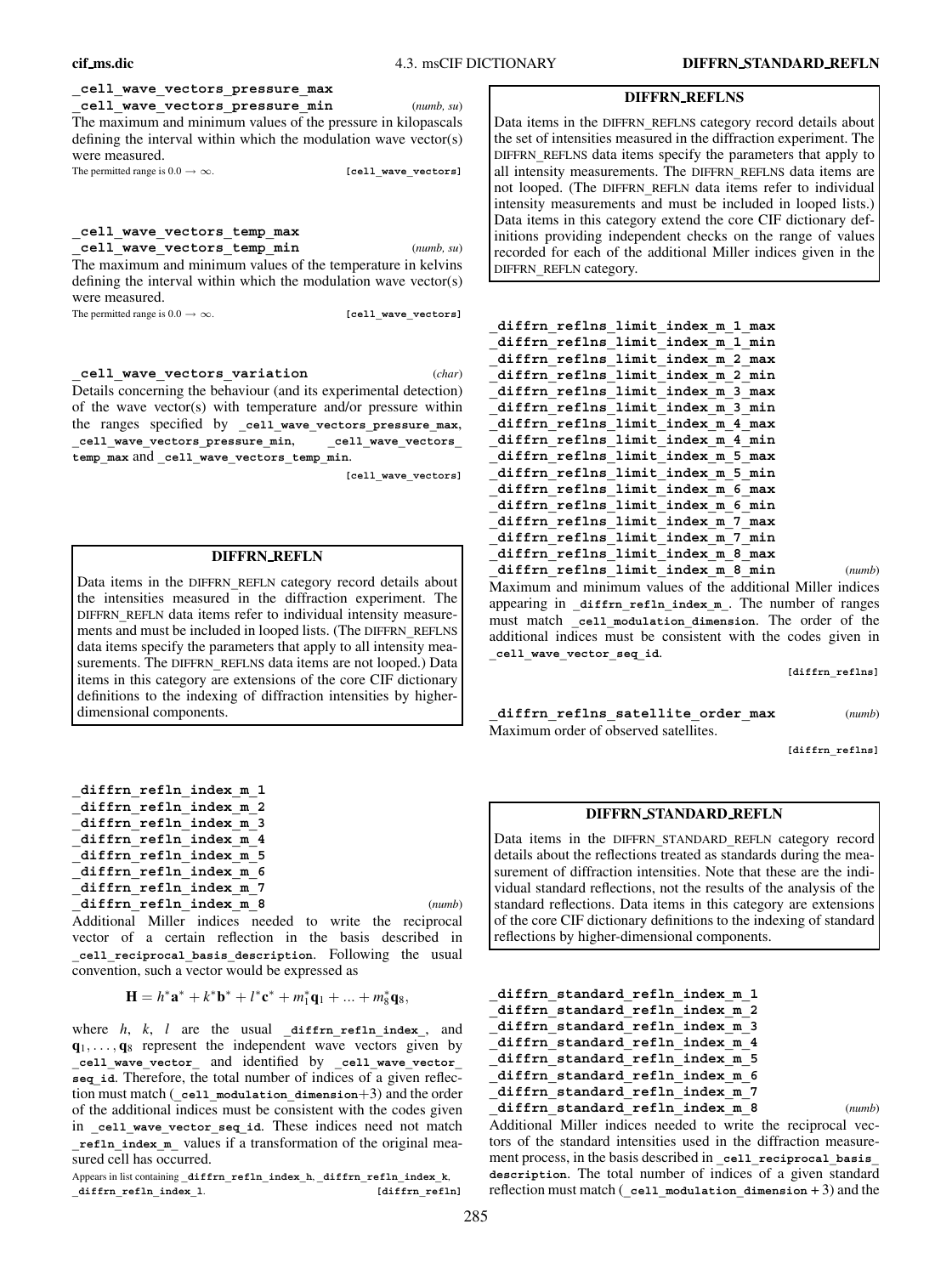**cif ms.dic** 4.3. msCIF DICTIONARY **DIFFRN STANDARD REFLN**

# **\_cell\_wave\_vectors\_pressure\_max**

**\_cell\_wave\_vectors\_pressure\_min** (*numb, su*) The maximum and minimum values of the pressure in kilopascals defining the interval within which the modulation wave vector(s) were measured.

The permitted range is  $0.0 \rightarrow \infty$ . **[cell wave vectors]** 

# **\_cell\_wave\_vectors\_temp\_max**

**\_cell\_wave\_vectors\_temp\_min** (*numb, su*) The maximum and minimum values of the temperature in kelvins defining the interval within which the modulation wave vector(s) were measured.

The permitted range is  $0.0 \rightarrow \infty$ . **[cell\_wave\_vectors]** 

**\_cell\_wave\_vectors\_variation** (*char*) Details concerning the behaviour (and its experimental detection) of the wave vector(s) with temperature and/or pressure within the ranges specified by cell wave vectors pressure max, **\_cell\_wave\_vectors\_pressure\_min**, **\_cell\_wave\_vectors\_ temp\_max** and **\_cell\_wave\_vectors\_temp\_min**.

**[cell\_wave\_vectors]**

# **DIFFRN REFLN**

Data items in the DIFFRN**\_**REFLN category record details about the intensities measured in the diffraction experiment. The DIFFRN**\_**REFLN data items refer to individual intensity measurements and must be included in looped lists. (The DIFFRN**\_**REFLNS data items specify the parameters that apply to all intensity measurements. The DIFFRN REFLNS data items are not looped.) Data items in this category are extensions of the core CIF dictionary definitions to the indexing of diffraction intensities by higherdimensional components.

| diffrn refln index m 1 |  |
|------------------------|--|
| diffrn refln index m 2 |  |
| diffrn refln index m 3 |  |
| diffrn refln index m 4 |  |
| diffrn refln index m 5 |  |
| diffrn refln index m 6 |  |
| diffrn refln index m 7 |  |
| diffrn refln index m 8 |  |

Additional Miller indices needed to write the reciprocal vector of a certain reflection in the basis described in **\_cell\_reciprocal\_basis\_description**. Following the usual convention, such a vector would be expressed as

$$
\mathbf{H} = h^* \mathbf{a}^* + k^* \mathbf{b}^* + l^* \mathbf{c}^* + m_1^* \mathbf{q}_1 + \dots + m_8^* \mathbf{q}_8,
$$

where *h*, *k*, *l* are the usual **\_diffrn\_refln\_index\_**, and  $\mathbf{q}_1, \ldots, \mathbf{q}_8$  represent the independent wave vectors given by **\_cell\_wave\_vector\_** and identified by **\_cell\_wave\_vector\_ seq\_id**. Therefore, the total number of indices of a given reflection must match (**\_cell\_modulation\_dimension**+3) and the order of the additional indices must be consistent with the codes given in **\_cell\_wave\_vector\_seq\_id**. These indices need not match **\_refln\_index\_m\_** values if a transformation of the original measured cell has occurred.

Appears in list containing **\_diffrn\_refln\_index\_h**, **\_diffrn\_refln\_index\_k**, **\_diffrn\_refln\_index\_l**. **[diffrn\_refln]**

#### **DIFFRN REFLNS**

Data items in the DIFFRN**\_**REFLNS category record details about the set of intensities measured in the diffraction experiment. The DIFFRN**\_**REFLNS data items specify the parameters that apply to all intensity measurements. The DIFFRN**\_**REFLNS data items are not looped. (The DIFFRN**\_**REFLN data items refer to individual intensity measurements and must be included in looped lists.) Data items in this category extend the core CIF dictionary definitions providing independent checks on the range of values recorded for each of the additional Miller indices given in the DIFFRN**\_**REFLN category.

| diffrn reflns limit index m 1 max |  |        |
|-----------------------------------|--|--------|
| diffrn reflns limit index m 1 min |  |        |
| diffrn reflns limit index m 2 max |  |        |
| diffrn reflns limit index m 2 min |  |        |
| diffrn reflns limit index m 3 max |  |        |
| diffrn reflns limit index m 3 min |  |        |
| diffrn reflns limit index m 4 max |  |        |
| diffrn reflns limit index m 4 min |  |        |
| diffrn reflns limit index m 5 max |  |        |
| diffrn reflns limit index m 5 min |  |        |
| diffrn reflns limit index m 6 max |  |        |
| diffrn reflns limit index m 6 min |  |        |
| diffrn reflns limit index m 7 max |  |        |
| diffrn reflns limit index m 7 min |  |        |
| diffrn reflns limit index m 8 max |  |        |
| diffrn reflns limit index m 8 min |  | (numb) |

Maximum and minimum values of the additional Miller indices appearing in **\_diffrn\_refln\_index\_m\_**. The number of ranges must match **\_cell\_modulation\_dimension**. The order of the additional indices must be consistent with the codes given in **\_cell\_wave\_vector\_seq\_id**.

**[diffrn\_reflns]**

**\_diffrn\_reflns\_satellite\_order\_max** (*numb*) Maximum order of observed satellites.

**[diffrn\_reflns]**

# **DIFFRN STANDARD REFLN**

Data items in the DIFFRN**\_**STANDARD**\_**REFLN category record details about the reflections treated as standards during the measurement of diffraction intensities. Note that these are the individual standard reflections, not the results of the analysis of the standard reflections. Data items in this category are extensions of the core CIF dictionary definitions to the indexing of standard reflections by higher-dimensional components.

```
_diffrn_standard_refln_index_m_1
_diffrn_standard_refln_index_m_2
_diffrn_standard_refln_index_m_3
_diffrn_standard_refln_index_m_4
_diffrn_standard_refln_index_m_5
_diffrn_standard_refln_index_m_6
_diffrn_standard_refln_index_m_7
_diffrn_standard_refln_index_m_8 (numb)
Additional Miller indices needed to write the reciprocal vec-
```
tors of the standard intensities used in the diffraction measurement process, in the basis described in cell reciprocal basis **description**. The total number of indices of a given standard reflection must match (**\_cell\_modulation\_dimension** + 3) and the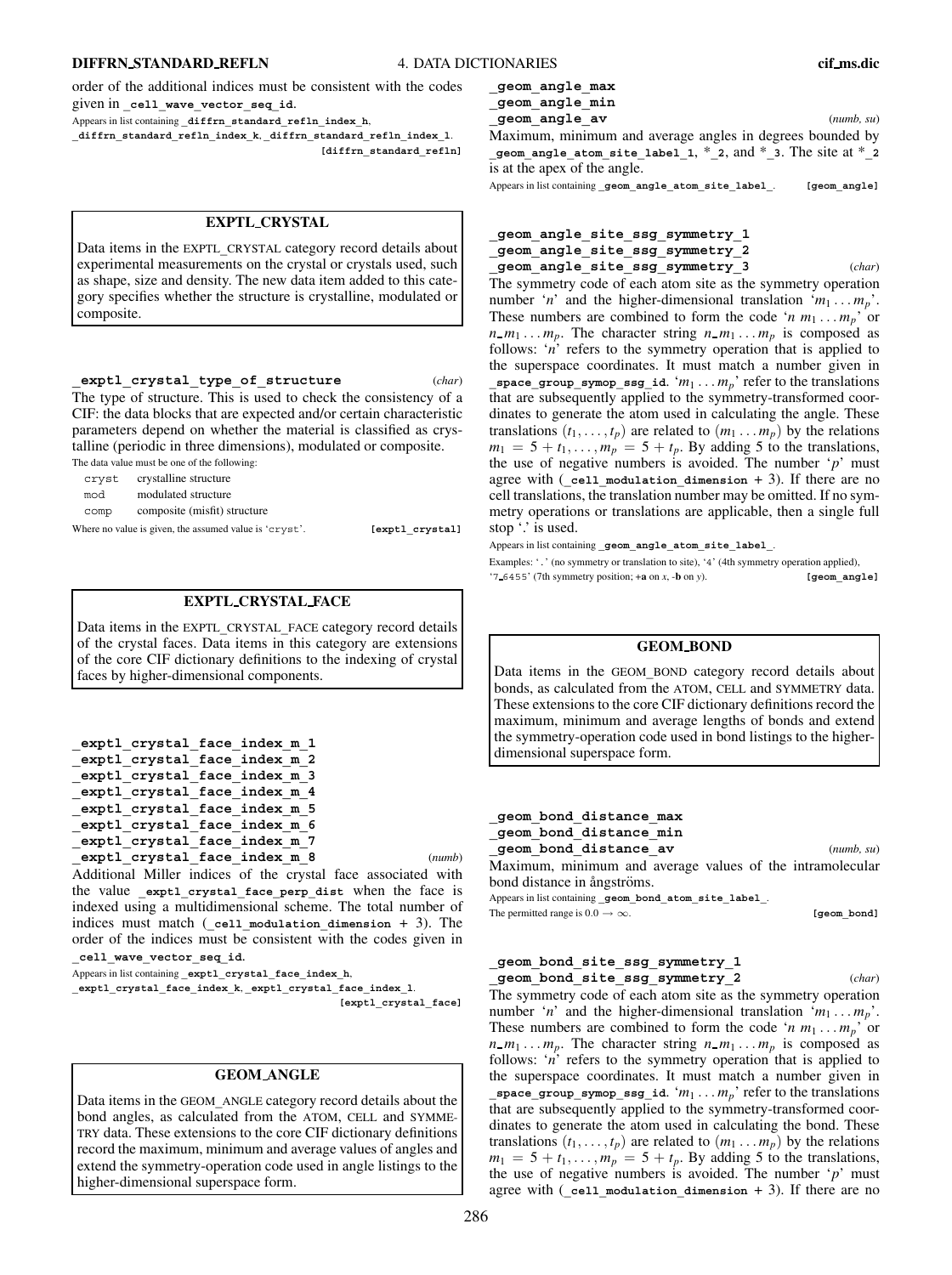## **DIFFRN STANDARD REFLN** 4. DATA DICTIONARIES **cif ms.dic**

order of the additional indices must be consistent with the codes given in **\_cell\_wave\_vector\_seq\_id**.

Appears in list containing **\_diffrn\_standard\_refln\_index\_h**,

**\_diffrn\_standard\_refln\_index\_k**, **\_diffrn\_standard\_refln\_index\_l**. **[diffrn\_standard\_refln]**

# **EXPTL CRYSTAL**

Data items in the EXPTL**\_**CRYSTAL category record details about experimental measurements on the crystal or crystals used, such as shape, size and density. The new data item added to this category specifies whether the structure is crystalline, modulated or composite.

#### **\_exptl\_crystal\_type\_of\_structure** (*char*)

The type of structure. This is used to check the consistency of a CIF: the data blocks that are expected and/or certain characteristic parameters depend on whether the material is classified as crystalline (periodic in three dimensions), modulated or composite. The data value must be one of the following:

cryst crystalline structure

| CIYSL | crystamme structure |
|-------|---------------------|
| mod   | modulated structure |

comp composite (misfit) structure

Where no value is given, the assumed value is 'cryst'. **[exptl\_crystal]** 

# **EXPTL CRYSTAL FACE**

Data items in the EXPTL**\_**CRYSTAL**\_**FACE category record details of the crystal faces. Data items in this category are extensions of the core CIF dictionary definitions to the indexing of crystal faces by higher-dimensional components.

```
_exptl_crystal_face_index_m_1
_exptl_crystal_face_index_m_2
_exptl_crystal_face_index_m_3
_exptl_crystal_face_index_m_4
_exptl_crystal_face_index_m_5
_exptl_crystal_face_index_m_6
_exptl_crystal_face_index_m_7
_exptl_crystal_face_index_m_8 (numb)
```
Additional Miller indices of the crystal face associated with the value exptl crystal face perp dist when the face is indexed using a multidimensional scheme. The total number of indices must match (**\_cell\_modulation\_dimension** + 3). The order of the indices must be consistent with the codes given in **\_cell\_wave\_vector\_seq\_id**.

Appears in list containing **\_exptl\_crystal\_face\_index\_h**,

**\_exptl\_crystal\_face\_index\_k**, **\_exptl\_crystal\_face\_index\_l**.

**[exptl\_crystal\_face]**

#### **GEOM ANGLE**

Data items in the GEOM**\_**ANGLE category record details about the bond angles, as calculated from the ATOM, CELL and SYMME-TRY data. These extensions to the core CIF dictionary definitions record the maximum, minimum and average values of angles and extend the symmetry-operation code used in angle listings to the higher-dimensional superspace form.

**\_geom\_angle\_max \_geom\_angle\_min \_geom\_angle\_av** (*numb, su*)

Maximum, minimum and average angles in degrees bounded by

**\_geom\_angle\_atom\_site\_label\_1**, \***\_2**, and \***\_3**. The site at \***\_2** is at the apex of the angle.

Appears in list containing **\_geom\_angle\_atom\_site\_label\_**. **[geom\_angle]**

# **\_geom\_angle\_site\_ssg\_symmetry\_1 \_geom\_angle\_site\_ssg\_symmetry\_2 \_geom\_angle\_site\_ssg\_symmetry\_3** (*char*)

The symmetry code of each atom site as the symmetry operation number '*n*' and the higher-dimensional translation ' $m_1 \ldots m_n$ '. These numbers are combined to form the code ' $n m_1 \ldots m_p$ ' or  $n_{-}m_{1} \ldots m_{p}$ . The character string  $n_{-}m_{1} \ldots m_{p}$  is composed as follows: '*n*' refers to the symmetry operation that is applied to the superspace coordinates. It must match a number given in **\_space\_group\_symop\_ssg\_id.** ' $m_1 \ldots m_p$ ' refer to the translations that are subsequently applied to the symmetry-transformed coordinates to generate the atom used in calculating the angle. These translations  $(t_1, \ldots, t_p)$  are related to  $(m_1 \ldots m_p)$  by the relations  $m_1 = 5 + t_1, \ldots, m_p = 5 + t_p$ . By adding 5 to the translations, the use of negative numbers is avoided. The number '*p*' must agree with (**\_cell\_modulation\_dimension** + 3). If there are no cell translations, the translation number may be omitted. If no symmetry operations or translations are applicable, then a single full stop  $\cdot$  is used.

Appears in list containing **\_geom\_angle\_atom\_site\_label\_**.

Examples: '.' (no symmetry or translation to site), '4' (4th symmetry operation applied), '7 6455' (7th symmetry position; +**a** on *x*, -**b** on *y*). **[geom\_angle]**

## **GEOM BOND**

Data items in the GEOM**\_**BOND category record details about bonds, as calculated from the ATOM, CELL and SYMMETRY data. These extensions to the core CIF dictionary definitions record the maximum, minimum and average lengths of bonds and extend the symmetry-operation code used in bond listings to the higherdimensional superspace form.

**\_geom\_bond\_distance\_max \_geom\_bond\_distance\_min \_geom\_bond\_distance\_av** (*numb, su*)

Maximum, minimum and average values of the intramolecular bond distance in ångströms.

Appears in list containing **\_geom\_bond\_atom\_site\_label\_**. The permitted range is  $0.0 \rightarrow \infty$ . **[geom\_bond]** 

# **\_geom\_bond\_site\_ssg\_symmetry\_1 \_geom\_bond\_site\_ssg\_symmetry\_2** (*char*)

The symmetry code of each atom site as the symmetry operation number '*n*' and the higher-dimensional translation ' $m_1 \ldots m_p$ '. These numbers are combined to form the code '*n*  $m_1 \ldots m_p$ ' or  $n_{1}$  *m*<sub>1</sub> ... *m<sub>p</sub>*. The character string  $n_{1}$  *m*<sub>1</sub> ... *m<sub>p</sub>* is composed as follows: '*n*' refers to the symmetry operation that is applied to the superspace coordinates. It must match a number given in **\_space\_group\_symop\_ssg\_id**. '*m*<sup>1</sup> ... *mp*' refer to the translations that are subsequently applied to the symmetry-transformed coordinates to generate the atom used in calculating the bond. These translations  $(t_1, \ldots, t_p)$  are related to  $(m_1 \ldots m_p)$  by the relations  $m_1 = 5 + t_1, \ldots, m_p = 5 + t_p$ . By adding 5 to the translations, the use of negative numbers is avoided. The number '*p*' must agree with (**\_cell\_modulation\_dimension** + 3). If there are no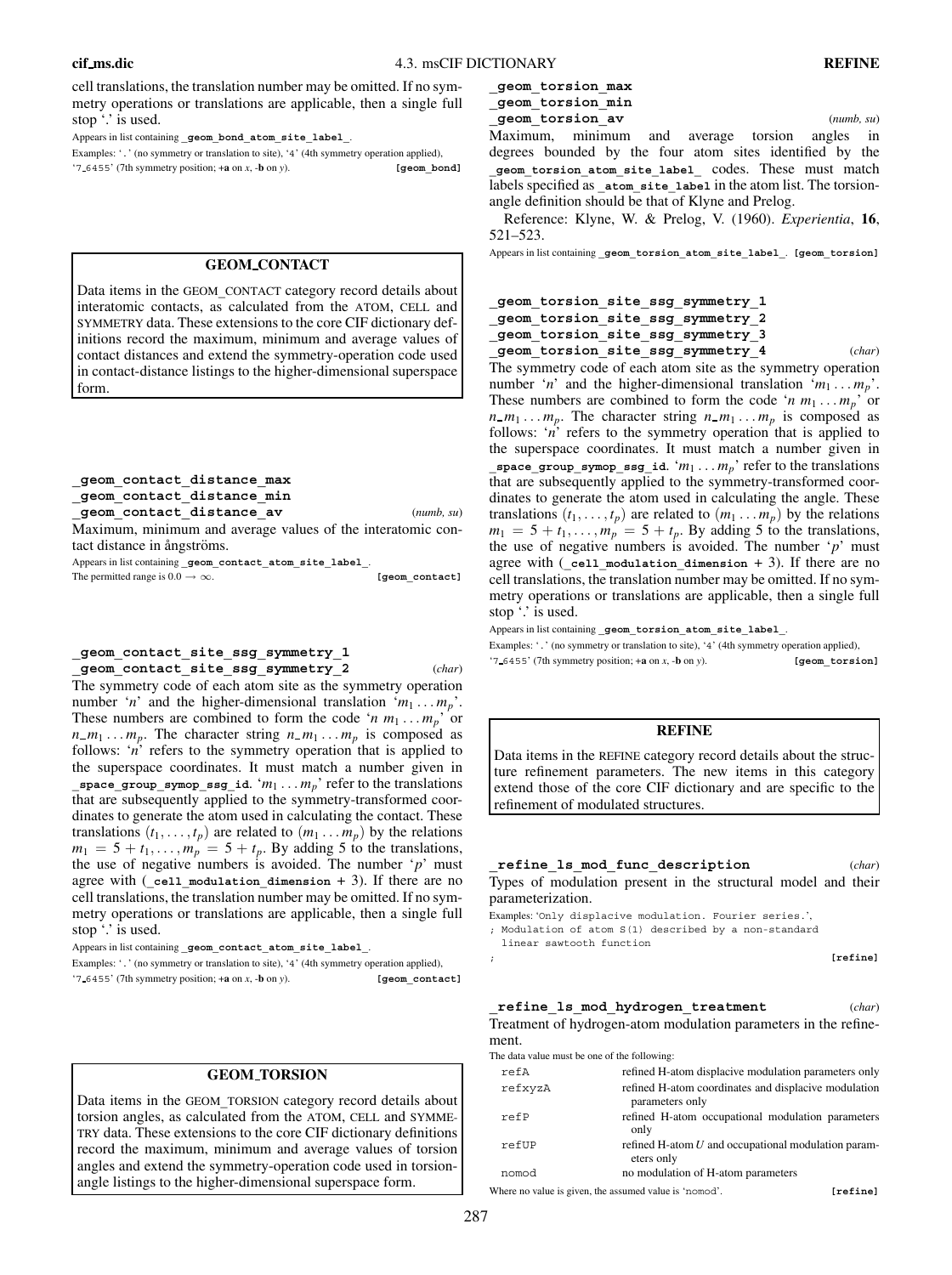cell translations, the translation number may be omitted. If no symmetry operations or translations are applicable, then a single full stop  $\therefore$  is used.

Appears in list containing **\_geom\_bond\_atom\_site\_label\_**.

Examples: '.' (no symmetry or translation to site), '4' (4th symmetry operation applied), '7 6455' (7th symmetry position; +**a** on *x*, -**b** on *y*). **[geom\_bond]**

# **GEOM CONTACT**

Data items in the GEOM**\_**CONTACT category record details about interatomic contacts, as calculated from the ATOM, CELL and SYMMETRY data. These extensions to the core CIF dictionary definitions record the maximum, minimum and average values of contact distances and extend the symmetry-operation code used in contact-distance listings to the higher-dimensional superspace form.

**\_geom\_contact\_distance\_max \_geom\_contact\_distance\_min \_geom\_contact\_distance\_av** (*numb, su*)

Maximum, minimum and average values of the interatomic contact distance in ångströms. Appears in list containing **\_geom\_contact\_atom\_site\_label\_**.

The permitted range is  $0.0 \rightarrow \infty$ . **[geom\_contact]** 

## **\_geom\_contact\_site\_ssg\_symmetry\_1 \_geom\_contact\_site\_ssg\_symmetry\_2** (*char*)

The symmetry code of each atom site as the symmetry operation number '*n*' and the higher-dimensional translation ' $m_1 \ldots m_p$ '. These numbers are combined to form the code '*n*  $m_1 \ldots m_p$ ' or  $n_{m_1} \ldots m_p$ . The character string  $n_{m_1} \ldots m_p$  is composed as follows: '*n*' refers to the symmetry operation that is applied to the superspace coordinates. It must match a number given in  $\frac{p}{q}$  space\_group\_symop\_ssg\_id. ' $m_1 \ldots m_p$ ' refer to the translations that are subsequently applied to the symmetry-transformed coordinates to generate the atom used in calculating the contact. These translations  $(t_1, \ldots, t_p)$  are related to  $(m_1 \ldots m_p)$  by the relations  $m_1 = 5 + t_1, \ldots, m_p = 5 + t_p$ . By adding 5 to the translations, the use of negative numbers is avoided. The number '*p*' must agree with (**\_cell\_modulation\_dimension** + 3). If there are no cell translations, the translation number may be omitted. If no symmetry operations or translations are applicable, then a single full stop  $\lq$  is used.

Appears in list containing **\_geom\_contact\_atom\_site\_label\_**.

Examples: '.' (no symmetry or translation to site), '4' (4th symmetry operation applied), '7 6455' (7th symmetry position; +**a** on *x*, -**b** on *y*). **[geom\_contact]**

# **GEOM TORSION**

Data items in the GEOM**\_**TORSION category record details about torsion angles, as calculated from the ATOM, CELL and SYMME-TRY data. These extensions to the core CIF dictionary definitions record the maximum, minimum and average values of torsion angles and extend the symmetry-operation code used in torsionangle listings to the higher-dimensional superspace form.

**\_geom\_torsion\_max**

**\_geom\_torsion\_min \_geom\_torsion\_av** (*numb, su*)

Maximum, minimum and average torsion angles in degrees bounded by the four atom sites identified by the **\_geom\_torsion\_atom\_site\_label\_** codes. These must match labels specified as  $atom$  site label in the atom list. The torsionangle definition should be that of Klyne and Prelog.

Reference: Klyne, W. & Prelog, V. (1960). *Experientia*, **16**, 521–523.

Appears in list containing **\_geom\_torsion\_atom\_site\_label\_**. **[geom\_torsion]**

```
_geom_torsion_site_ssg_symmetry_1
```

```
_geom_torsion_site_ssg_symmetry_2
```

```
_geom_torsion_site_ssg_symmetry_3
```
**\_geom\_torsion\_site\_ssg\_symmetry\_4** (*char*) The symmetry code of each atom site as the symmetry operation number '*n*' and the higher-dimensional translation ' $m_1 \ldots m_p$ '. These numbers are combined to form the code '*n*  $m_1 \ldots m_p$ ' or  $n_{m_1} \ldots m_p$ . The character string  $n_{m_1} \ldots m_p$  is composed as follows: '*n*' refers to the symmetry operation that is applied to the superspace coordinates. It must match a number given in **space** group symop ssg id. ' $m_1$ ...  $m_p$ ' refer to the translations that are subsequently applied to the symmetry-transformed coordinates to generate the atom used in calculating the angle. These translations  $(t_1, \ldots, t_p)$  are related to  $(m_1 \ldots m_p)$  by the relations  $m_1 = 5 + t_1, \ldots, m_p = 5 + t_p$ . By adding 5 to the translations, the use of negative numbers is avoided. The number '*p*' must agree with (**\_cell\_modulation\_dimension** + 3). If there are no cell translations, the translation number may be omitted. If no symmetry operations or translations are applicable, then a single full stop '.' is used.

Appears in list containing **\_geom\_torsion\_atom\_site\_label\_**.

Examples: '.' (no symmetry or translation to site), '4' (4th symmetry operation applied), '7 6455' (7th symmetry position; +**a** on *x*, -**b** on *y*). **[geom\_torsion]**

# **REFINE**

Data items in the REFINE category record details about the structure refinement parameters. The new items in this category extend those of the core CIF dictionary and are specific to the refinement of modulated structures.

| refine 1s mod func description                                                                                                                | (char)   |
|-----------------------------------------------------------------------------------------------------------------------------------------------|----------|
| Types of modulation present in the structural model and their                                                                                 |          |
| parameterization.                                                                                                                             |          |
| Examples: 'Only displacive modulation. Fourier series.',<br>; Modulation of atom S(1) described by a non-standard<br>linear sawtooth function |          |
|                                                                                                                                               | [refine] |
| refine 1s mod hydrogen treatment                                                                                                              |          |

Treatment of hydrogen-atom modulation parameters in the refinement.

The data value must be one of the following:

| refA    | refined H-atom displacive modulation parameters only                    |      |
|---------|-------------------------------------------------------------------------|------|
| refxyzA | refined H-atom coordinates and displacive modulation<br>parameters only |      |
| refP    | refined H-atom occupational modulation parameters<br>only               |      |
| refUP   | refined H-atom $U$ and occupational modulation param-<br>eters only     |      |
| nomod   | no modulation of H-atom parameters                                      |      |
| .       |                                                                         | .  . |

Where no value is given, the assumed value is 'nomod'. **[refine]**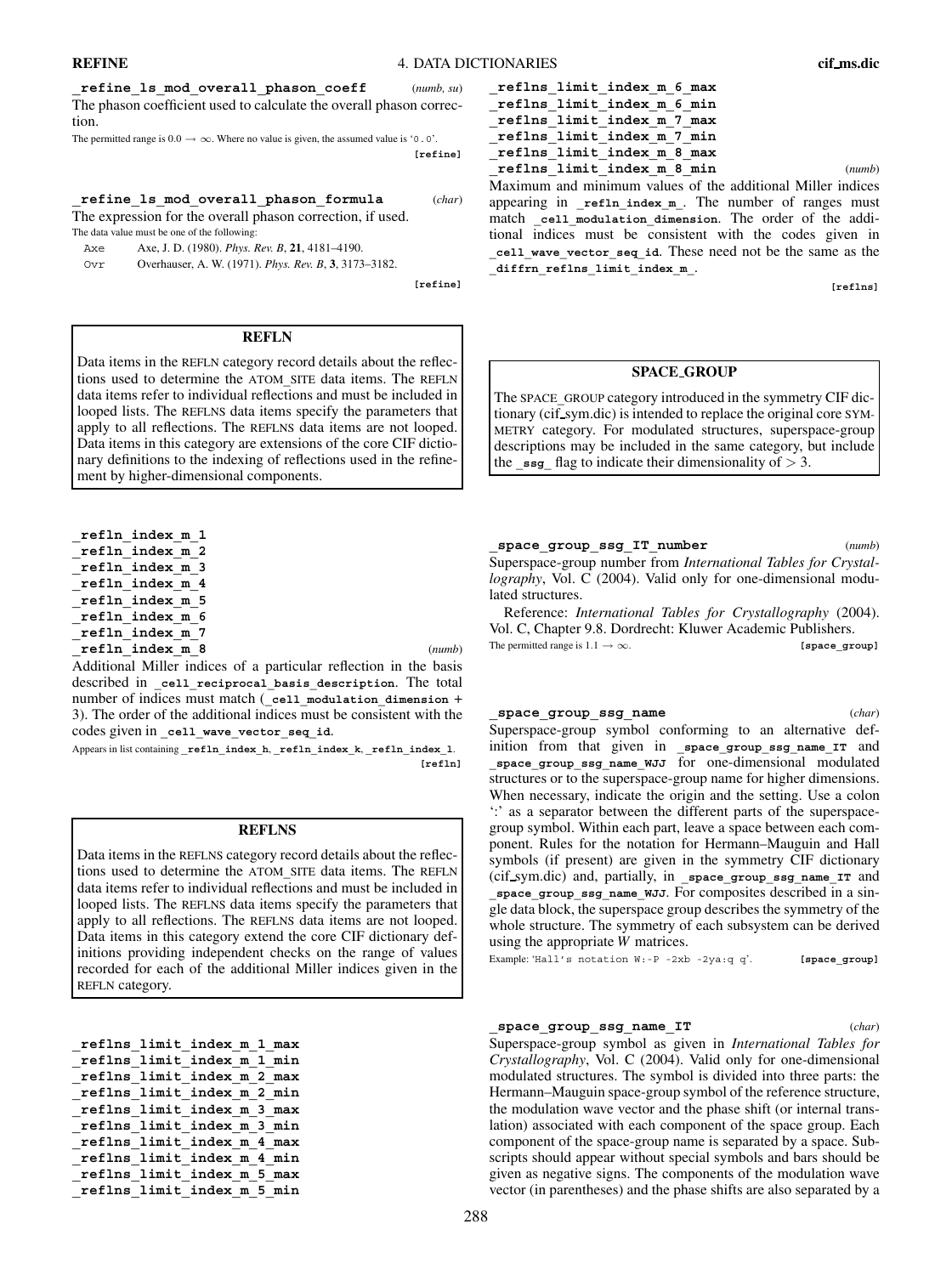**\_refine\_ls\_mod\_overall\_phason\_coeff** (*numb, su*) The phason coefficient used to calculate the overall phason correction.

The permitted range is  $0.0 \rightarrow \infty$ . Where no value is given, the assumed value is '0.0'.

**[refine]**

#### **\_refine\_ls\_mod\_overall\_phason\_formula** (*char*)

The expression for the overall phason correction, if used. The data value must be one of the following:

Axe Axe, J. D. (1980). *Phys. Rev. B*, **21**, 4181–4190.

Ovr Overhauser, A. W. (1971). *Phys. Rev. B*, **3**, 3173–3182.

**[refine]**

### **REFLN**

Data items in the REFLN category record details about the reflections used to determine the ATOM**\_**SITE data items. The REFLN data items refer to individual reflections and must be included in looped lists. The REFLNS data items specify the parameters that apply to all reflections. The REFLNS data items are not looped. Data items in this category are extensions of the core CIF dictionary definitions to the indexing of reflections used in the refinement by higher-dimensional components.

**\_refln\_index\_m\_1 \_refln\_index\_m\_2 \_refln\_index\_m\_3 \_refln\_index\_m\_4 \_refln\_index\_m\_5 \_refln\_index\_m\_6 \_refln\_index\_m\_7 \_refln\_index\_m\_8** (*numb*)

Additional Miller indices of a particular reflection in the basis described in **\_cell\_reciprocal\_basis\_description**. The total number of indices must match (**\_cell\_modulation\_dimension** + 3). The order of the additional indices must be consistent with the codes given in **\_cell\_wave\_vector\_seq\_id**.

Appears in list containing **\_refln\_index\_h**, **\_refln\_index\_k**, **\_refln\_index\_l**. **[refln]**

#### **REFLNS**

Data items in the REFLNS category record details about the reflections used to determine the ATOM**\_**SITE data items. The REFLN data items refer to individual reflections and must be included in looped lists. The REFLNS data items specify the parameters that apply to all reflections. The REFLNS data items are not looped. Data items in this category extend the core CIF dictionary definitions providing independent checks on the range of values recorded for each of the additional Miller indices given in the REFLN category.

| reflns limit index m 1 max |
|----------------------------|
| reflns limit index m 1 min |
| reflns limit index m 2 max |
| reflns limit index m 2 min |
| reflns limit index m 3 max |
| reflns limit index m 3 min |
| reflns limit index m 4 max |
| reflns limit index m 4 min |
| reflns limit index m 5 max |
| reflns limit index m 5 min |

| reflns limit index m 6 max                                           |
|----------------------------------------------------------------------|
| reflns limit index m 6 min                                           |
| reflns limit index m 7 max                                           |
| reflns limit index m 7 min                                           |
| reflns limit index m 8 max                                           |
| reflns limit index m 8 min<br>(numb)                                 |
| Maximum and minimum values of the additional Miller indices          |
| appearing in $_{\text{refln\_index\_m}}$ . The number of ranges must |

match cell modulation dimension. The order of the additional indices must be consistent with the codes given in **\_cell\_wave\_vector\_seq\_id**. These need not be the same as the **\_diffrn\_reflns\_limit\_index\_m\_**.

**[reflns]**

## **SPACE GROUP**

The SPACE**\_**GROUP category introduced in the symmetry CIF dictionary (cif sym.dic) is intended to replace the original core SYM-METRY category. For modulated structures, superspace-group descriptions may be included in the same category, but include the  $\text{ssg}$  flag to indicate their dimensionality of  $> 3$ .

**\_space\_group\_ssg\_IT\_number** (*numb*)

Superspace-group number from *International Tables for Crystallography*, Vol. C (2004). Valid only for one-dimensional modulated structures.

Reference: *International Tables for Crystallography* (2004). Vol. C, Chapter 9.8. Dordrecht: Kluwer Academic Publishers. The permitted range is  $1.1 \rightarrow \infty$ . **[space\_group]** 

#### **\_space\_group\_ssg\_name** (*char*)

Superspace-group symbol conforming to an alternative definition from that given in **\_space\_group\_ssg\_name\_IT** and **\_space\_group\_ssg\_name\_WJJ** for one-dimensional modulated structures or to the superspace-group name for higher dimensions. When necessary, indicate the origin and the setting. Use a colon ':' as a separator between the different parts of the superspacegroup symbol. Within each part, leave a space between each component. Rules for the notation for Hermann–Mauguin and Hall symbols (if present) are given in the symmetry CIF dictionary (cif sym.dic) and, partially, in **\_space\_group\_ssg\_name\_IT** and **\_space\_group\_ssg\_name\_WJJ**. For composites described in a single data block, the superspace group describes the symmetry of the whole structure. The symmetry of each subsystem can be derived using the appropriate *W* matrices.

Example: 'Hall's notation W:-P -2xb -2ya:q q'. **[space\_group]**

#### **\_space\_group\_ssg\_name\_IT** (*char*)

Superspace-group symbol as given in *International Tables for Crystallography*, Vol. C (2004). Valid only for one-dimensional modulated structures. The symbol is divided into three parts: the Hermann–Mauguin space-group symbol of the reference structure, the modulation wave vector and the phase shift (or internal translation) associated with each component of the space group. Each component of the space-group name is separated by a space. Subscripts should appear without special symbols and bars should be given as negative signs. The components of the modulation wave vector (in parentheses) and the phase shifts are also separated by a